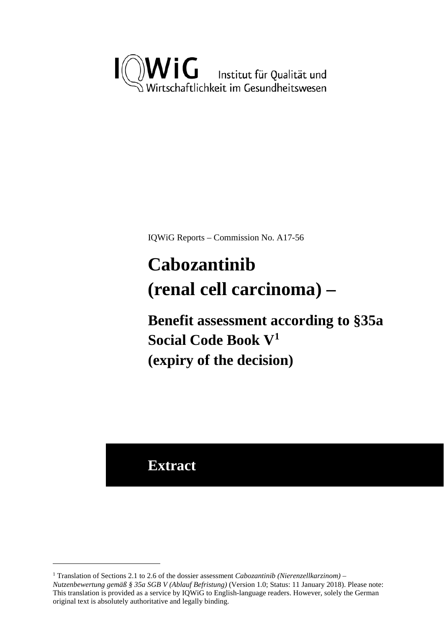

IQWiG Reports – Commission No. A17-56

# <span id="page-0-1"></span>**Cabozantinib (renal cell carcinoma) –**

**Benefit assessment according to §35a Social Code Book V[1](#page-0-0) (expiry of the decision)**

### **Extract**

<u>.</u>

<span id="page-0-0"></span><sup>1</sup> Translation of Sections 2.1 to 2.6 of the dossier assessment *Cabozantinib (Nierenzellkarzinom) – Nutzenbewertung gemäß § 35a SGB V (Ablauf Befristung)* (Version 1.0; Status: 11 January 2018). Please note: This translation is provided as a service by IQWiG to English-language readers. However, solely the German original text is absolutely authoritative and legally binding.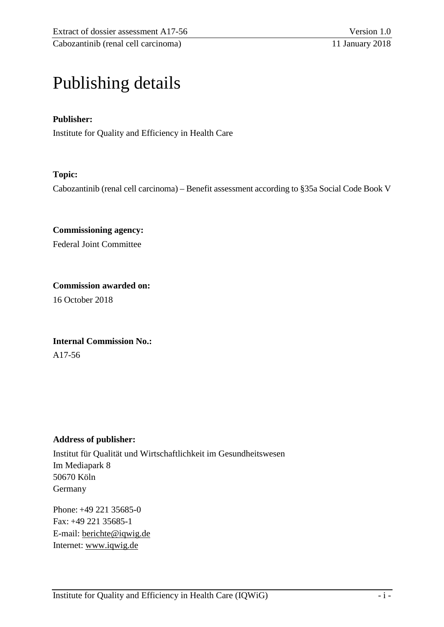### Publishing details

#### **Publisher:**

Institute for Quality and Efficiency in Health Care

#### **Topic:**

Cabozantinib (renal cell carcinoma) – Benefit assessment according to §35a Social Code Book V

**Commissioning agency:**  Federal Joint Committee

**Commission awarded on:**  16 October 2018

**Internal Commission No.:**  A17-56

#### **Address of publisher:**

Institut für Qualität und Wirtschaftlichkeit im Gesundheitswesen Im Mediapark 8 50670 Köln Germany

Phone: +49 221 35685-0 Fax: +49 221 35685-1 E-mail: [berichte@iqwig.de](mailto:berichte@iqwig.de) Internet: [www.iqwig.de](http://www.iqwig.de/)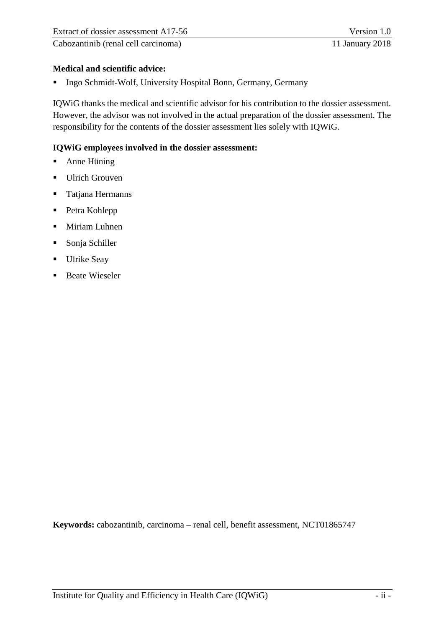#### **Medical and scientific advice:**

**Ingo Schmidt-Wolf, University Hospital Bonn, Germany, Germany** 

IQWiG thanks the medical and scientific advisor for his contribution to the dossier assessment. However, the advisor was not involved in the actual preparation of the dossier assessment. The responsibility for the contents of the dossier assessment lies solely with IQWiG.

#### **IQWiG employees involved in the dossier assessment:**

- **Anne Hüning**
- Ulrich Grouven
- **Tatjana Hermanns**
- Petra Kohlepp
- **Miriam Luhnen**
- Sonja Schiller
- **Ulrike Seay**
- Beate Wieseler

**Keywords:** cabozantinib, carcinoma – renal cell, benefit assessment, NCT01865747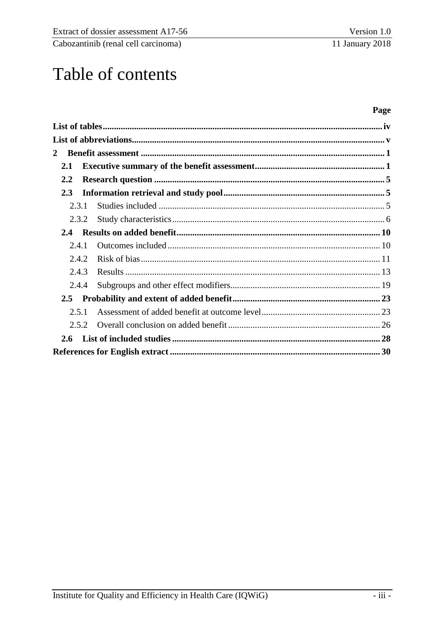## Table of contents

#### Page

| $\mathbf{2}$  |       |  |
|---------------|-------|--|
| 2.1           |       |  |
| 2.2           |       |  |
| 2.3           |       |  |
|               | 2.3.1 |  |
|               | 2.3.2 |  |
| $2.4^{\circ}$ |       |  |
|               | 2.4.1 |  |
|               | 2.4.2 |  |
|               | 2.4.3 |  |
|               | 2.4.4 |  |
|               |       |  |
|               | 2.5.1 |  |
|               | 2.5.2 |  |
|               |       |  |
|               |       |  |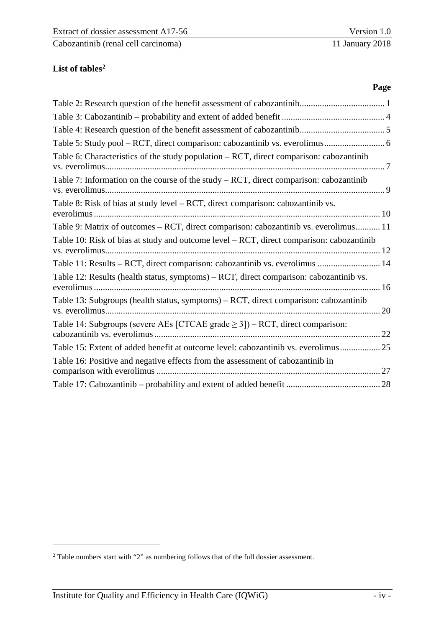#### <span id="page-4-0"></span>List of tables<sup>2</sup>

| Table 5: Study pool - RCT, direct comparison: cabozantinib vs. everolimus 6                               |
|-----------------------------------------------------------------------------------------------------------|
| Table 6: Characteristics of the study population - RCT, direct comparison: cabozantinib<br>vs. everolimus |
| Table 7: Information on the course of the study $- RCT$ , direct comparison: cabozantinib                 |
| Table 8: Risk of bias at study level – RCT, direct comparison: cabozantinib vs.                           |
| Table 9: Matrix of outcomes - RCT, direct comparison: cabozantinib vs. everolimus 11                      |
| Table 10: Risk of bias at study and outcome level - RCT, direct comparison: cabozantinib                  |
| Table 11: Results - RCT, direct comparison: cabozantinib vs. everolimus  14                               |
| Table 12: Results (health status, symptoms) – RCT, direct comparison: cabozantinib vs.                    |
| Table 13: Subgroups (health status, symptoms) – RCT, direct comparison: cabozantinib                      |
| Table 14: Subgroups (severe AEs [CTCAE grade $\geq$ 3]) – RCT, direct comparison:                         |
| Table 15: Extent of added benefit at outcome level: cabozantinib vs. everolimus 25                        |
| Table 16: Positive and negative effects from the assessment of cabozantinib in                            |
|                                                                                                           |

<u>.</u>

<span id="page-4-1"></span><sup>&</sup>lt;sup>2</sup> Table numbers start with "2" as numbering follows that of the full dossier assessment.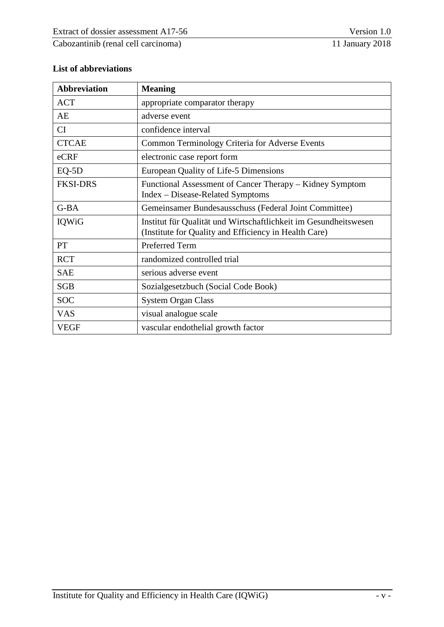#### <span id="page-5-0"></span>**List of abbreviations**

| <b>Abbreviation</b> | <b>Meaning</b>                                                                                                            |
|---------------------|---------------------------------------------------------------------------------------------------------------------------|
| <b>ACT</b>          | appropriate comparator therapy                                                                                            |
| AE                  | adverse event                                                                                                             |
| CI                  | confidence interval                                                                                                       |
| <b>CTCAE</b>        | <b>Common Terminology Criteria for Adverse Events</b>                                                                     |
| eCRF                | electronic case report form                                                                                               |
| $EQ-5D$             | European Quality of Life-5 Dimensions                                                                                     |
| <b>FKSI-DRS</b>     | Functional Assessment of Cancer Therapy – Kidney Symptom<br>Index – Disease-Related Symptoms                              |
| $G-BA$              | Gemeinsamer Bundesausschuss (Federal Joint Committee)                                                                     |
| IQWiG               | Institut für Qualität und Wirtschaftlichkeit im Gesundheitswesen<br>(Institute for Quality and Efficiency in Health Care) |
| PT                  | Preferred Term                                                                                                            |
| <b>RCT</b>          | randomized controlled trial                                                                                               |
| <b>SAE</b>          | serious adverse event                                                                                                     |
| <b>SGB</b>          | Sozialgesetzbuch (Social Code Book)                                                                                       |
| <b>SOC</b>          | <b>System Organ Class</b>                                                                                                 |
| <b>VAS</b>          | visual analogue scale                                                                                                     |
| <b>VEGF</b>         | vascular endothelial growth factor                                                                                        |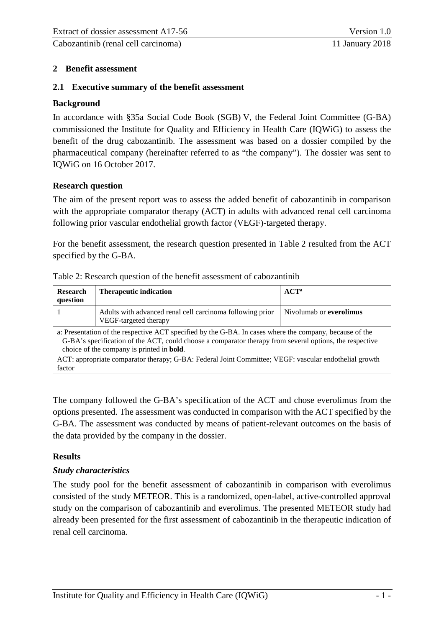#### <span id="page-6-0"></span>**2 Benefit assessment**

#### <span id="page-6-1"></span>**2.1 Executive summary of the benefit assessment**

#### **Background**

In accordance with §35a Social Code Book (SGB) V, the Federal Joint Committee (G-BA) commissioned the Institute for Quality and Efficiency in Health Care (IQWiG) to assess the benefit of the drug cabozantinib. The assessment was based on a dossier compiled by the pharmaceutical company (hereinafter referred to as "the company"). The dossier was sent to IQWiG on 16 October 2017.

#### **Research question**

The aim of the present report was to assess the added benefit of cabozantinib in comparison with the appropriate comparator therapy (ACT) in adults with advanced renal cell carcinoma following prior vascular endothelial growth factor (VEGF)-targeted therapy.

For the benefit assessment, the research question presented in [Table](#page-6-2) 2 resulted from the ACT specified by the G-BA.

| <b>Research</b><br>question                                                                                                                                                                                                                                             | <b>Therapeutic indication</b>                                                      | $ACT^a$                 |  |
|-------------------------------------------------------------------------------------------------------------------------------------------------------------------------------------------------------------------------------------------------------------------------|------------------------------------------------------------------------------------|-------------------------|--|
|                                                                                                                                                                                                                                                                         | Adults with advanced renal cell carcinoma following prior<br>VEGF-targeted therapy | Nivolumab or everolimus |  |
| a: Presentation of the respective ACT specified by the G-BA. In cases where the company, because of the<br>G-BA's specification of the ACT, could choose a comparator therapy from several options, the respective<br>choice of the company is printed in <b>bold</b> . |                                                                                    |                         |  |
| ACT: appropriate comparator therapy; G-BA: Federal Joint Committee; VEGF: vascular endothelial growth<br>factor                                                                                                                                                         |                                                                                    |                         |  |

<span id="page-6-2"></span>

| Table 2: Research question of the benefit assessment of cabozantinib |  |
|----------------------------------------------------------------------|--|
|----------------------------------------------------------------------|--|

The company followed the G-BA's specification of the ACT and chose everolimus from the options presented. The assessment was conducted in comparison with the ACT specified by the G-BA. The assessment was conducted by means of patient-relevant outcomes on the basis of the data provided by the company in the dossier.

#### **Results**

#### *Study characteristics*

The study pool for the benefit assessment of cabozantinib in comparison with everolimus consisted of the study METEOR. This is a randomized, open-label, active-controlled approval study on the comparison of cabozantinib and everolimus. The presented METEOR study had already been presented for the first assessment of cabozantinib in the therapeutic indication of renal cell carcinoma.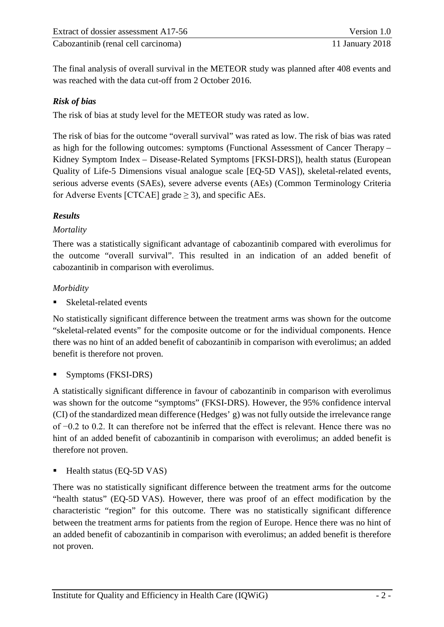The final analysis of overall survival in the METEOR study was planned after 408 events and was reached with the data cut-off from 2 October 2016.

#### *Risk of bias*

The risk of bias at study level for the METEOR study was rated as low.

The risk of bias for the outcome "overall survival" was rated as low. The risk of bias was rated as high for the following outcomes: symptoms (Functional Assessment of Cancer Therapy – Kidney Symptom Index – Disease-Related Symptoms [FKSI-DRS]), health status (European Quality of Life-5 Dimensions visual analogue scale [EQ-5D VAS]), skeletal-related events, serious adverse events (SAEs), severe adverse events (AEs) (Common Terminology Criteria for Adverse Events [CTCAE] grade  $\geq$  3), and specific AEs.

#### *Results*

#### *Mortality*

There was a statistically significant advantage of cabozantinib compared with everolimus for the outcome "overall survival". This resulted in an indication of an added benefit of cabozantinib in comparison with everolimus.

#### *Morbidity*

Skeletal-related events

No statistically significant difference between the treatment arms was shown for the outcome "skeletal-related events" for the composite outcome or for the individual components. Hence there was no hint of an added benefit of cabozantinib in comparison with everolimus; an added benefit is therefore not proven.

Symptoms (FKSI-DRS)

A statistically significant difference in favour of cabozantinib in comparison with everolimus was shown for the outcome "symptoms" (FKSI-DRS). However, the 95% confidence interval (CI) of the standardized mean difference (Hedges' g) was not fully outside the irrelevance range of −0.2 to 0.2. It can therefore not be inferred that the effect is relevant. Hence there was no hint of an added benefit of cabozantinib in comparison with everolimus; an added benefit is therefore not proven.

Health status (EQ-5D VAS)

There was no statistically significant difference between the treatment arms for the outcome "health status" (EQ-5D VAS). However, there was proof of an effect modification by the characteristic "region" for this outcome. There was no statistically significant difference between the treatment arms for patients from the region of Europe. Hence there was no hint of an added benefit of cabozantinib in comparison with everolimus; an added benefit is therefore not proven.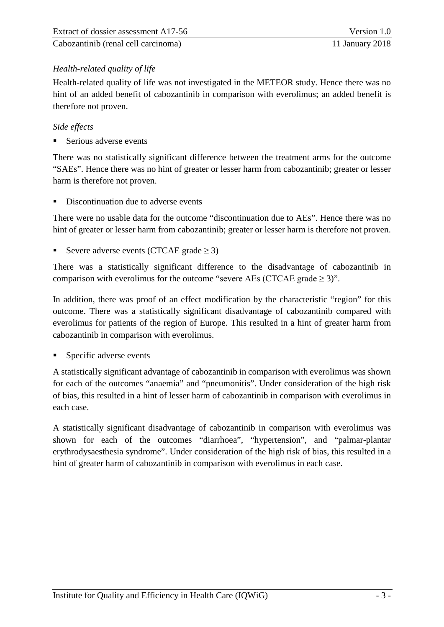#### *Health-related quality of life*

Health-related quality of life was not investigated in the METEOR study. Hence there was no hint of an added benefit of cabozantinib in comparison with everolimus; an added benefit is therefore not proven.

#### *Side effects*

Serious adverse events

There was no statistically significant difference between the treatment arms for the outcome "SAEs". Hence there was no hint of greater or lesser harm from cabozantinib; greater or lesser harm is therefore not proven.

Discontinuation due to adverse events

There were no usable data for the outcome "discontinuation due to AEs". Hence there was no hint of greater or lesser harm from cabozantinib; greater or lesser harm is therefore not proven.

Severe adverse events (CTCAE grade  $\geq$  3)

There was a statistically significant difference to the disadvantage of cabozantinib in comparison with everolimus for the outcome "severe AEs (CTCAE grade  $\geq$  3)".

In addition, there was proof of an effect modification by the characteristic "region" for this outcome. There was a statistically significant disadvantage of cabozantinib compared with everolimus for patients of the region of Europe. This resulted in a hint of greater harm from cabozantinib in comparison with everolimus.

Specific adverse events

A statistically significant advantage of cabozantinib in comparison with everolimus was shown for each of the outcomes "anaemia" and "pneumonitis". Under consideration of the high risk of bias, this resulted in a hint of lesser harm of cabozantinib in comparison with everolimus in each case.

A statistically significant disadvantage of cabozantinib in comparison with everolimus was shown for each of the outcomes "diarrhoea", "hypertension", and "palmar-plantar erythrodysaesthesia syndrome". Under consideration of the high risk of bias, this resulted in a hint of greater harm of cabozantinib in comparison with everolimus in each case.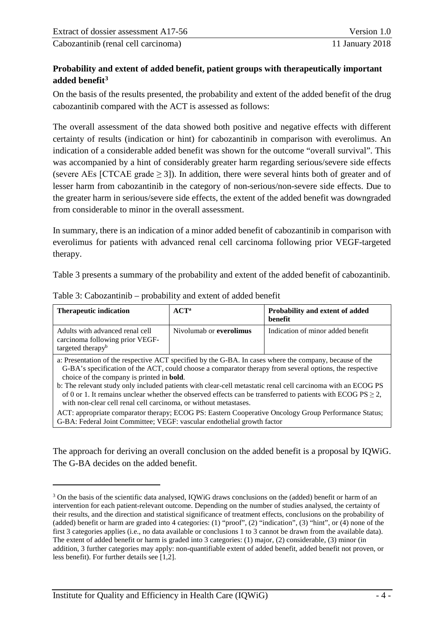#### **Probability and extent of added benefit, patient groups with therapeutically important added benefit[3](#page-9-1)**

On the basis of the results presented, the probability and extent of the added benefit of the drug cabozantinib compared with the ACT is assessed as follows:

The overall assessment of the data showed both positive and negative effects with different certainty of results (indication or hint) for cabozantinib in comparison with everolimus. An indication of a considerable added benefit was shown for the outcome "overall survival". This was accompanied by a hint of considerably greater harm regarding serious/severe side effects (severe AEs [CTCAE grade  $\geq$  3]). In addition, there were several hints both of greater and of lesser harm from cabozantinib in the category of non-serious/non-severe side effects. Due to the greater harm in serious/severe side effects, the extent of the added benefit was downgraded from considerable to minor in the overall assessment.

In summary, there is an indication of a minor added benefit of cabozantinib in comparison with everolimus for patients with advanced renal cell carcinoma following prior VEGF-targeted therapy.

[Table](#page-9-0) 3 presents a summary of the probability and extent of the added benefit of cabozantinib.

| <b>Therapeutic indication</b>                                                                                                                                                                                                                                                                                                                                                                                                                                                                                                                                                   | $ACT^a$                 | Probability and extent of added<br>benefit |  |  |
|---------------------------------------------------------------------------------------------------------------------------------------------------------------------------------------------------------------------------------------------------------------------------------------------------------------------------------------------------------------------------------------------------------------------------------------------------------------------------------------------------------------------------------------------------------------------------------|-------------------------|--------------------------------------------|--|--|
| Adults with advanced renal cell<br>carcinoma following prior VEGF-<br>targeted therapy <sup>b</sup>                                                                                                                                                                                                                                                                                                                                                                                                                                                                             | Nivolumab or everolimus | Indication of minor added benefit          |  |  |
| a: Presentation of the respective ACT specified by the G-BA. In cases where the company, because of the<br>G-BA's specification of the ACT, could choose a comparator therapy from several options, the respective<br>choice of the company is printed in <b>bold</b> .<br>b: The relevant study only included patients with clear-cell metastatic renal cell carcinoma with an ECOG PS<br>of 0 or 1. It remains unclear whether the observed effects can be transferred to patients with ECOG PS $\geq$ 2,<br>with non-clear cell renal cell carcinoma, or without metastases. |                         |                                            |  |  |
| ACT: appropriate comparator therapy; ECOG PS: Eastern Cooperative Oncology Group Performance Status;<br>G-BA: Federal Joint Committee; VEGF: vascular endothelial growth factor                                                                                                                                                                                                                                                                                                                                                                                                 |                         |                                            |  |  |
| The approach for deriving an overall conclusion on the added benefit is a proposal by IQWiG.                                                                                                                                                                                                                                                                                                                                                                                                                                                                                    |                         |                                            |  |  |

#### <span id="page-9-0"></span>Table 3: Cabozantinib – probability and extent of added benefit

The approach for deriving an overall conclusion on the added benefit is a proposal by IQWiG. The G-BA decides on the added benefit.

-

<span id="page-9-1"></span><sup>&</sup>lt;sup>3</sup> On the basis of the scientific data analysed, IQWiG draws conclusions on the (added) benefit or harm of an intervention for each patient-relevant outcome. Depending on the number of studies analysed, the certainty of their results, and the direction and statistical significance of treatment effects, conclusions on the probability of (added) benefit or harm are graded into 4 categories: (1) "proof", (2) "indication", (3) "hint", or (4) none of the first 3 categories applies (i.e., no data available or conclusions 1 to 3 cannot be drawn from the available data). The extent of added benefit or harm is graded into 3 categories: (1) major, (2) considerable, (3) minor (in addition, 3 further categories may apply: non-quantifiable extent of added benefit, added benefit not proven, or less benefit). For further details see [1,2].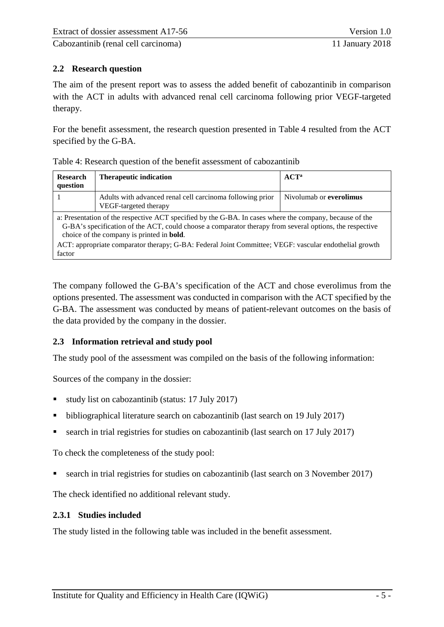#### <span id="page-10-0"></span>**2.2 Research question**

The aim of the present report was to assess the added benefit of cabozantinib in comparison with the ACT in adults with advanced renal cell carcinoma following prior VEGF-targeted therapy.

For the benefit assessment, the research question presented in [Table](#page-10-3) 4 resulted from the ACT specified by the G-BA.

<span id="page-10-3"></span>

| Table 4: Research question of the benefit assessment of cabozantinib |  |
|----------------------------------------------------------------------|--|
|----------------------------------------------------------------------|--|

| <b>Research</b><br>question                                                                                                                                                                                                                                             | <b>Therapeutic indication</b>                                                      | $ACT^a$                 |  |  |
|-------------------------------------------------------------------------------------------------------------------------------------------------------------------------------------------------------------------------------------------------------------------------|------------------------------------------------------------------------------------|-------------------------|--|--|
|                                                                                                                                                                                                                                                                         | Adults with advanced renal cell carcinoma following prior<br>VEGF-targeted therapy | Nivolumab or everolimus |  |  |
| a: Presentation of the respective ACT specified by the G-BA. In cases where the company, because of the<br>G-BA's specification of the ACT, could choose a comparator therapy from several options, the respective<br>choice of the company is printed in <b>bold</b> . |                                                                                    |                         |  |  |
| ACT: appropriate comparator therapy; G-BA: Federal Joint Committee; VEGF: vascular endothelial growth<br>factor                                                                                                                                                         |                                                                                    |                         |  |  |

The company followed the G-BA's specification of the ACT and chose everolimus from the options presented. The assessment was conducted in comparison with the ACT specified by the G-BA. The assessment was conducted by means of patient-relevant outcomes on the basis of the data provided by the company in the dossier.

#### <span id="page-10-1"></span>**2.3 Information retrieval and study pool**

The study pool of the assessment was compiled on the basis of the following information:

Sources of the company in the dossier:

- study list on cabozantinib (status: 17 July 2017)
- bibliographical literature search on cabozantinib (last search on 19 July 2017)
- search in trial registries for studies on cabozantinib (last search on 17 July 2017)

To check the completeness of the study pool:

search in trial registries for studies on cabozantinib (last search on 3 November 2017)

The check identified no additional relevant study.

#### <span id="page-10-2"></span>**2.3.1 Studies included**

The study listed in the following table was included in the benefit assessment.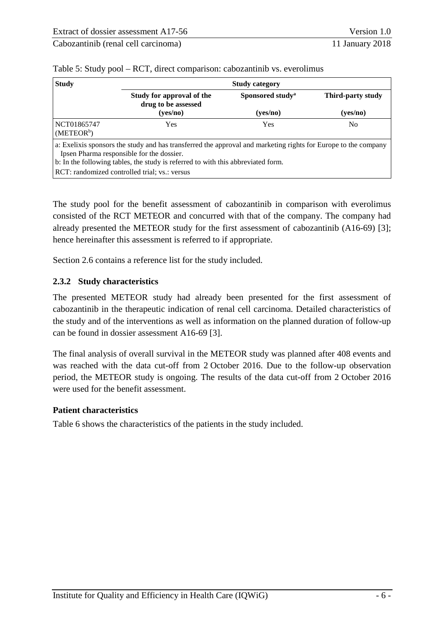| <b>Study</b>                                                                                                                                                                                                                                    | <b>Study category</b>                            |                              |                   |  |
|-------------------------------------------------------------------------------------------------------------------------------------------------------------------------------------------------------------------------------------------------|--------------------------------------------------|------------------------------|-------------------|--|
|                                                                                                                                                                                                                                                 | Study for approval of the<br>drug to be assessed | Sponsored study <sup>a</sup> | Third-party study |  |
|                                                                                                                                                                                                                                                 | (yes/no)                                         | (yes/no)                     | (yes/no)          |  |
| NCT01865747<br>(METEOR <sup>b</sup> )                                                                                                                                                                                                           | Yes                                              | <b>Yes</b>                   | No.               |  |
| a: Exelixis sponsors the study and has transferred the approval and marketing rights for Europe to the company<br>Ipsen Pharma responsible for the dossier.<br>b: In the following tables, the study is referred to with this abbreviated form. |                                                  |                              |                   |  |
| RCT: randomized controlled trial; vs.: versus                                                                                                                                                                                                   |                                                  |                              |                   |  |

<span id="page-11-1"></span>Table 5: Study pool – RCT, direct comparison: cabozantinib vs. everolimus

The study pool for the benefit assessment of cabozantinib in comparison with everolimus consisted of the RCT METEOR and concurred with that of the company. The company had already presented the METEOR study for the first assessment of cabozantinib (A16-69) [3]; hence hereinafter this assessment is referred to if appropriate.

Section [2.6](#page-33-0) contains a reference list for the study included.

#### <span id="page-11-0"></span>**2.3.2 Study characteristics**

The presented METEOR study had already been presented for the first assessment of cabozantinib in the therapeutic indication of renal cell carcinoma. Detailed characteristics of the study and of the interventions as well as information on the planned duration of follow-up can be found in dossier assessment A16-69 [3].

The final analysis of overall survival in the METEOR study was planned after 408 events and was reached with the data cut-off from 2 October 2016. Due to the follow-up observation period, the METEOR study is ongoing. The results of the data cut-off from 2 October 2016 were used for the benefit assessment.

#### **Patient characteristics**

[Table](#page-12-0) 6 shows the characteristics of the patients in the study included.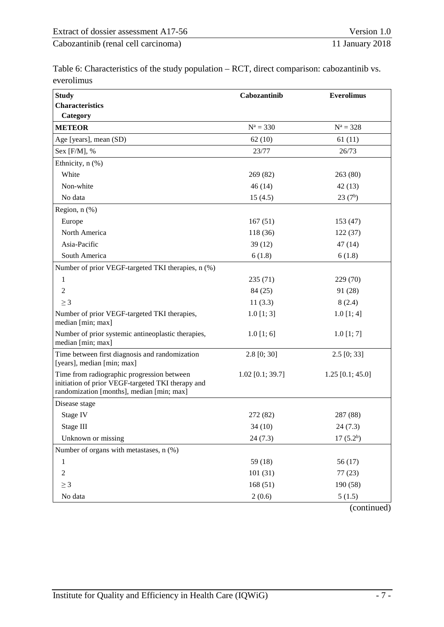<span id="page-12-0"></span>Table 6: Characteristics of the study population – RCT, direct comparison: cabozantinib vs.

| everolimus                                                                                                                                   |                    |                     |
|----------------------------------------------------------------------------------------------------------------------------------------------|--------------------|---------------------|
| <b>Study</b>                                                                                                                                 | Cabozantinib       | <b>Everolimus</b>   |
| <b>Characteristics</b>                                                                                                                       |                    |                     |
| Category                                                                                                                                     |                    |                     |
| <b>METEOR</b>                                                                                                                                | $N^a = 330$        | $N^a = 328$         |
| Age [years], mean (SD)                                                                                                                       | 62(10)             | 61(11)              |
| Sex [F/M], %                                                                                                                                 | 23/77              | 26/73               |
| Ethnicity, n (%)                                                                                                                             |                    |                     |
| White                                                                                                                                        | 269 (82)           | 263 (80)            |
| Non-white                                                                                                                                    | 46(14)             | 42(13)              |
| No data                                                                                                                                      | 15(4.5)            | 23(7 <sup>b</sup> ) |
| Region, $n$ $%$                                                                                                                              |                    |                     |
| Europe                                                                                                                                       | 167(51)            | 153 (47)            |
| North America                                                                                                                                | 118 (36)           | 122(37)             |
| Asia-Pacific                                                                                                                                 | 39(12)             | 47(14)              |
| South America                                                                                                                                | 6(1.8)             | 6(1.8)              |
| Number of prior VEGF-targeted TKI therapies, n (%)                                                                                           |                    |                     |
| 1                                                                                                                                            | 235(71)            | 229 (70)            |
| $\overline{2}$                                                                                                                               | 84 (25)            | 91 (28)             |
| $\geq 3$                                                                                                                                     | 11(3.3)            | 8(2.4)              |
| Number of prior VEGF-targeted TKI therapies,<br>median [min; max]                                                                            | $1.0$ [1; 3]       | $1.0$ [1; 4]        |
| Number of prior systemic antineoplastic therapies,<br>median [min; max]                                                                      | 1.0 [1; 6]         | $1.0$ [1; 7]        |
| Time between first diagnosis and randomization<br>[years], median [min; max]                                                                 | 2.8 [0; 30]        | $2.5$ [0; 33]       |
| Time from radiographic progression between<br>initiation of prior VEGF-targeted TKI therapy and<br>randomization [months], median [min; max] | $1.02$ [0.1; 39.7] | $1.25$ [0.1; 45.0]  |
| Disease stage                                                                                                                                |                    |                     |
| Stage IV                                                                                                                                     | 272 (82)           | 287 (88)            |
| Stage III                                                                                                                                    | 34(10)             | 24(7.3)             |
| Unknown or missing                                                                                                                           | 24(7.3)            | $17(5.2^b)$         |
| Number of organs with metastases, n (%)                                                                                                      |                    |                     |
| $\mathbf{1}$                                                                                                                                 | 59(18)             | 56 (17)             |
| $\sqrt{2}$                                                                                                                                   | 101(31)            | 77(23)              |
| $\geq 3$                                                                                                                                     | 168(51)            | 190 (58)            |
| No data                                                                                                                                      | 2(0.6)             | 5(1.5)              |
|                                                                                                                                              |                    | (continued)         |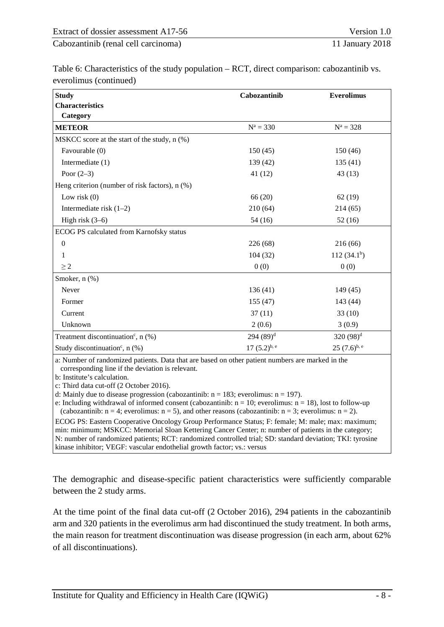Table [6: Characteristics of the study population –](#page-12-0) RCT, direct comparison: cabozantinib vs. [everolimus](#page-12-0) (continued)

| <b>Study</b>                                     | Cabozantinib    | <b>Everolimus</b> |
|--------------------------------------------------|-----------------|-------------------|
| <b>Characteristics</b>                           |                 |                   |
| Category                                         |                 |                   |
| <b>METEOR</b>                                    | $N^a = 330$     | $N^a = 328$       |
| MSKCC score at the start of the study, n (%)     |                 |                   |
| Favourable (0)                                   | 150(45)         | 150 (46)          |
| Intermediate (1)                                 | 139 (42)        | 135(41)           |
| Poor $(2-3)$                                     | 41(12)          | 43(13)            |
| Heng criterion (number of risk factors), n (%)   |                 |                   |
| Low risk $(0)$                                   | 66(20)          | 62(19)            |
| Intermediate risk $(1-2)$                        | 210(64)         | 214(65)           |
| High risk $(3-6)$                                | 54(16)          | 52(16)            |
| ECOG PS calculated from Karnofsky status         |                 |                   |
| $\boldsymbol{0}$                                 | 226(68)         | 216(66)           |
| 1                                                | 104(32)         | 112 $(34.1b)$     |
| $\geq 2$                                         | 0(0)            | 0(0)              |
| Smoker, n (%)                                    |                 |                   |
| Never                                            | 136(41)         | 149(45)           |
| Former                                           | 155(47)         | 143 (44)          |
| Current                                          | 37(11)          | 33(10)            |
| Unknown                                          | 2(0.6)          | 3(0.9)            |
| Treatment discontinuation <sup>c</sup> , $n$ (%) | $294(89)^{d}$   | 320 $(98)^d$      |
| Study discontinuation <sup>c</sup> , $n$ (%)     | $17(5.2)^{b,e}$ | $25(7.6)^{b, e}$  |

a: Number of randomized patients. Data that are based on other patient numbers are marked in the corresponding line if the deviation is relevant.

b: Institute's calculation.

c: Third data cut-off (2 October 2016).

d: Mainly due to disease progression (cabozantinib:  $n = 183$ ; everolimus:  $n = 197$ ).

e: Including withdrawal of informed consent (cabozantinib:  $n = 10$ ; everolimus:  $n = 18$ ), lost to follow-up (cabozantinib:  $n = 4$ ; everolimus:  $n = 5$ ), and other reasons (cabozantinib:  $n = 3$ ; everolimus:  $n = 2$ ).

ECOG PS: Eastern Cooperative Oncology Group Performance Status; F: female; M: male; max: maximum; min: minimum; MSKCC: Memorial Sloan Kettering Cancer Center; n: number of patients in the category; N: number of randomized patients; RCT: randomized controlled trial; SD: standard deviation; TKI: tyrosine kinase inhibitor; VEGF: vascular endothelial growth factor; vs.: versus

The demographic and disease-specific patient characteristics were sufficiently comparable between the 2 study arms.

At the time point of the final data cut-off (2 October 2016), 294 patients in the cabozantinib arm and 320 patients in the everolimus arm had discontinued the study treatment. In both arms, the main reason for treatment discontinuation was disease progression (in each arm, about 62% of all discontinuations).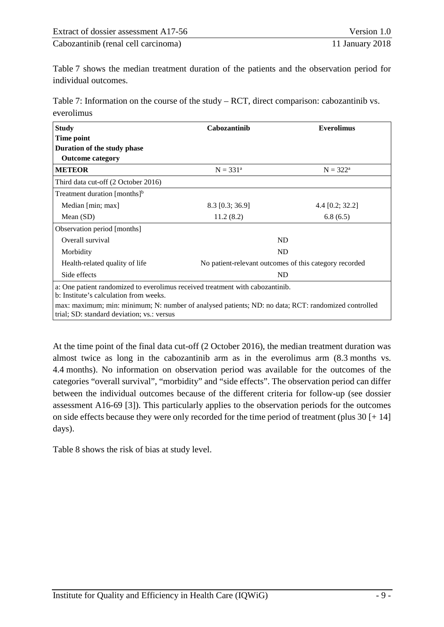[Table](#page-14-0) 7 shows the median treatment duration of the patients and the observation period for individual outcomes.

<span id="page-14-0"></span>Table 7: Information on the course of the study – RCT, direct comparison: cabozantinib vs. everolimus

| <b>Study</b>                                                                                                                                      | Cabozantinib                                           | <b>Everolimus</b> |  |  |  |
|---------------------------------------------------------------------------------------------------------------------------------------------------|--------------------------------------------------------|-------------------|--|--|--|
| Time point                                                                                                                                        |                                                        |                   |  |  |  |
| Duration of the study phase                                                                                                                       |                                                        |                   |  |  |  |
| <b>Outcome category</b>                                                                                                                           |                                                        |                   |  |  |  |
| <b>METEOR</b>                                                                                                                                     | $N = 331^a$                                            | $N = 322^a$       |  |  |  |
| Third data cut-off (2 October 2016)                                                                                                               |                                                        |                   |  |  |  |
| Treatment duration $[$ months $]$ <sup>b</sup>                                                                                                    |                                                        |                   |  |  |  |
| Median [min; max]                                                                                                                                 | 8.3 [0.3; 36.9]                                        | 4.4 $[0.2; 32.2]$ |  |  |  |
| Mean $(SD)$                                                                                                                                       | 11.2(8.2)                                              | 6.8(6.5)          |  |  |  |
| Observation period [months]                                                                                                                       |                                                        |                   |  |  |  |
| Overall survival                                                                                                                                  |                                                        | ND                |  |  |  |
| Morbidity                                                                                                                                         |                                                        | ND                |  |  |  |
| Health-related quality of life                                                                                                                    | No patient-relevant outcomes of this category recorded |                   |  |  |  |
| Side effects                                                                                                                                      |                                                        | ND                |  |  |  |
| a: One patient randomized to everolimus received treatment with cabozantinib.<br>b: Institute's calculation from weeks.                           |                                                        |                   |  |  |  |
| max: maximum; min: minimum; N: number of analysed patients; ND: no data; RCT: randomized controlled<br>trial; SD: standard deviation; vs.: versus |                                                        |                   |  |  |  |

At the time point of the final data cut-off (2 October 2016), the median treatment duration was almost twice as long in the cabozantinib arm as in the everolimus arm (8.3 months vs. 4.4 months). No information on observation period was available for the outcomes of the categories "overall survival", "morbidity" and "side effects". The observation period can differ between the individual outcomes because of the different criteria for follow-up (see dossier assessment A16-69 [3]). This particularly applies to the observation periods for the outcomes on side effects because they were only recorded for the time period of treatment (plus 30 [+ 14] days).

[Table](#page-15-2) 8 shows the risk of bias at study level.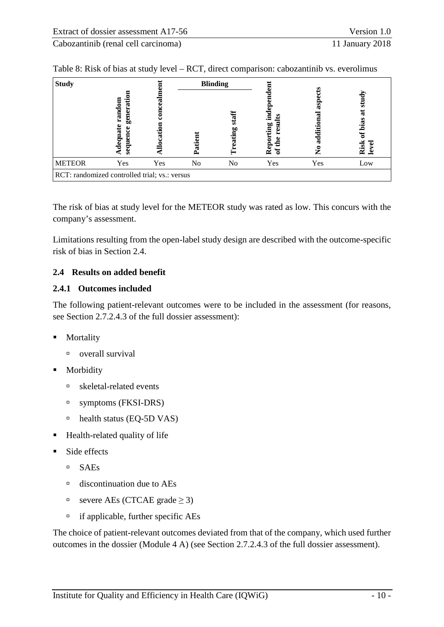| <b>Study</b>  |                                                              |     |           | <b>Blinding</b> |                  |                  |                             |  |  |  |
|---------------|--------------------------------------------------------------|-----|-----------|-----------------|------------------|------------------|-----------------------------|--|--|--|
|               | Ē<br>ω<br>Ò<br>ran<br>gen<br>nce<br>ūai<br>ᇹ<br>ō<br>ð<br>95 |     | 5<br>Pati | ळ<br>eating     | ⊆<br>ă<br>흚<br>≃ | e<br>additi<br>Z | ळ<br>ಡ<br>bias<br>Risk<br>g |  |  |  |
| <b>METEOR</b> | Yes                                                          | Yes | No        | No              | Yes              | Yes              | Low                         |  |  |  |
|               | RCT: randomized controlled trial; vs.: versus                |     |           |                 |                  |                  |                             |  |  |  |

<span id="page-15-2"></span>Table 8: Risk of bias at study level – RCT, direct comparison: cabozantinib vs. everolimus

The risk of bias at study level for the METEOR study was rated as low. This concurs with the company's assessment.

Limitations resulting from the open-label study design are described with the outcome-specific risk of bias in Section [2.4.](#page-15-0)

#### <span id="page-15-0"></span>**2.4 Results on added benefit**

#### <span id="page-15-1"></span>**2.4.1 Outcomes included**

The following patient-relevant outcomes were to be included in the assessment (for reasons, see Section 2.7.2.4.3 of the full dossier assessment):

- **Mortality** 
	- □ overall survival
- Morbidity
	- skeletal-related events
	- <sup>n</sup> symptoms (FKSI-DRS)
	- $\textdegree$  health status (EQ-5D VAS)
- Health-related quality of life
- Side effects
	- SAEs
	- $\Box$  discontinuation due to AEs
	- severe AEs (CTCAE grade ≥ 3)
	- $\Box$  if applicable, further specific AEs

The choice of patient-relevant outcomes deviated from that of the company, which used further outcomes in the dossier (Module 4 A) (see Section 2.7.2.4.3 of the full dossier assessment).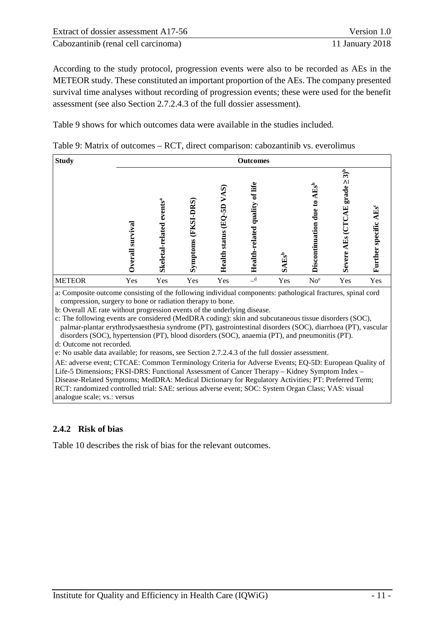| Extract of dossier assessment A17-56 | Version 1.0     |
|--------------------------------------|-----------------|
| Cabozantinib (renal cell carcinoma)  | 11 January 2018 |

According to the study protocol, progression events were also to be recorded as AEs in the METEOR study. These constituted an important proportion of the AEs. The company presented survival time analyses without recording of progression events; these were used for the benefit assessment (see also Section 2.7.2.4.3 of the full dossier assessment).

[Table](#page-16-1) 9 shows for which outcomes data were available in the studies included.

<span id="page-16-1"></span>

| Table 9: Matrix of outcomes – RCT, direct comparison: cabozantinib vs. everolimus |  |
|-----------------------------------------------------------------------------------|--|
|-----------------------------------------------------------------------------------|--|

| <b>Study</b>  | <b>Outcomes</b>   |                                         |                        |                                                      |                                      |          |                                             |                                                          |                                            |  |
|---------------|-------------------|-----------------------------------------|------------------------|------------------------------------------------------|--------------------------------------|----------|---------------------------------------------|----------------------------------------------------------|--------------------------------------------|--|
|               | val<br>ន<br>erall | events <sup>a</sup><br>Skeletal-related | (FKSI-DRS)<br>Symptoms | $\widehat{\mathbf{z}}$<br>ဌ<br>圅<br>status<br>Health | of life<br>quality<br>Health-related | $SAEs^b$ | 囯<br>$\mathbf{e}$<br>due<br>Discontinuation | $3)^b$<br>ΛΙ<br>grade<br>囯<br>Ě<br>$E_{\rm S}$<br>Severe | $\mathrm{Es}^c$<br>specific<br>ä<br>Furthe |  |
| <b>METEOR</b> | Yes               | Yes                                     | Yes                    | Yes                                                  | $\overline{\phantom{a}}^d$           | Yes      | No <sup>e</sup>                             | Yes                                                      | Yes                                        |  |

a: Composite outcome consisting of the following individual components: pathological fractures, spinal cord compression, surgery to bone or radiation therapy to bone.

b: Overall AE rate without progression events of the underlying disease.

c: The following events are considered (MedDRA coding): skin and subcutaneous tissue disorders (SOC), palmar-plantar erythrodysaesthesia syndrome (PT), gastrointestinal disorders (SOC), diarrhoea (PT), vascular disorders (SOC), hypertension (PT), blood disorders (SOC), anaemia (PT), and pneumonitis (PT).

d: Outcome not recorded.

e: No usable data available; for reasons, see Section 2.7.2.4.3 of the full dossier assessment.

AE: adverse event; CTCAE: Common Terminology Criteria for Adverse Events; EQ-5D: European Quality of Life-5 Dimensions; FKSI-DRS: Functional Assessment of Cancer Therapy – Kidney Symptom Index – Disease-Related Symptoms; MedDRA: Medical Dictionary for Regulatory Activities; PT: Preferred Term; RCT: randomized controlled trial: SAE: serious adverse event; SOC: System Organ Class; VAS: visual analogue scale; vs.: versus

#### <span id="page-16-0"></span>**2.4.2 Risk of bias**

[Table](#page-17-0) 10 describes the risk of bias for the relevant outcomes.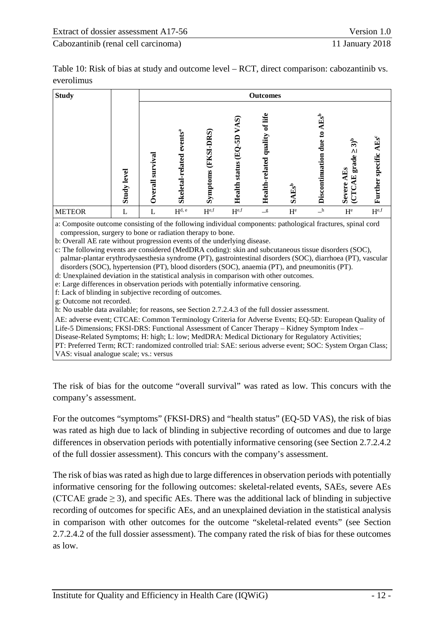<span id="page-17-0"></span>

| Table 10: Risk of bias at study and outcome level – RCT, direct comparison: cabozantinib vs. |  |
|----------------------------------------------------------------------------------------------|--|
| everolimus                                                                                   |  |

| <b>Study</b>  |                |                             | <b>Outcomes</b>                   |                        |                                                          |                                      |                       |                                                                 |                                                                               |                                      |
|---------------|----------------|-----------------------------|-----------------------------------|------------------------|----------------------------------------------------------|--------------------------------------|-----------------------|-----------------------------------------------------------------|-------------------------------------------------------------------------------|--------------------------------------|
|               | level<br>Study | vival<br>sur<br>verall<br>≎ | $e$ vent $sa$<br>Skeletal-related | (FKSI-DRS)<br>Symptoms | VAS)<br>6D<br>$\mathbf{\hat{E}}$<br><b>Health status</b> | of life<br>quality<br>Health-related | $SAEs^b$              | $\mathbf{E}^\text{b}$<br>$\mathbf{c}$<br>due<br>Discontinuation | $3)^b$<br>$\Lambda$<br>grade<br>$E_{\rm s}$<br>囯<br>Œ<br>Severe<br><b>CTC</b> | specific AEs <sup>c</sup><br>Further |
| <b>METEOR</b> |                |                             | $\mathbf{H}^{\text{d, e}}$        | $H^{e,f}$              | $H^{e,f}$                                                | $\mathbf{-}^{\mathbf{g}}$            | $\mathbf{H}^\text{e}$ | $\mathbf{a}$                                                    | $H^e$                                                                         | $\mathbf{H}^{\text{e,f}}$            |

a: Composite outcome consisting of the following individual components: pathological fractures, spinal cord compression, surgery to bone or radiation therapy to bone.

b: Overall AE rate without progression events of the underlying disease.

c: The following events are considered (MedDRA coding): skin and subcutaneous tissue disorders (SOC), palmar-plantar erythrodysaesthesia syndrome (PT), gastrointestinal disorders (SOC), diarrhoea (PT), vascular disorders (SOC), hypertension (PT), blood disorders (SOC), anaemia (PT), and pneumonitis (PT).

d: Unexplained deviation in the statistical analysis in comparison with other outcomes.

e: Large differences in observation periods with potentially informative censoring.

f: Lack of blinding in subjective recording of outcomes.

g: Outcome not recorded.

h: No usable data available; for reasons, see Section 2.7.2.4.3 of the full dossier assessment.

AE: adverse event; CTCAE: Common Terminology Criteria for Adverse Events; EQ-5D: European Quality of Life-5 Dimensions; FKSI-DRS: Functional Assessment of Cancer Therapy – Kidney Symptom Index –

Disease-Related Symptoms; H: high; L: low; MedDRA: Medical Dictionary for Regulatory Activities;

PT: Preferred Term; RCT: randomized controlled trial: SAE: serious adverse event; SOC: System Organ Class; VAS: visual analogue scale; vs.: versus

The risk of bias for the outcome "overall survival" was rated as low. This concurs with the company's assessment.

For the outcomes "symptoms" (FKSI-DRS) and "health status" (EQ-5D VAS), the risk of bias was rated as high due to lack of blinding in subjective recording of outcomes and due to large differences in observation periods with potentially informative censoring (see Section 2.7.2.4.2 of the full dossier assessment). This concurs with the company's assessment.

The risk of bias was rated as high due to large differences in observation periods with potentially informative censoring for the following outcomes: skeletal-related events, SAEs, severe AEs (CTCAE grade  $\geq$  3), and specific AEs. There was the additional lack of blinding in subjective recording of outcomes for specific AEs, and an unexplained deviation in the statistical analysis in comparison with other outcomes for the outcome "skeletal-related events" (see Section 2.7.2.4.2 of the full dossier assessment). The company rated the risk of bias for these outcomes as low.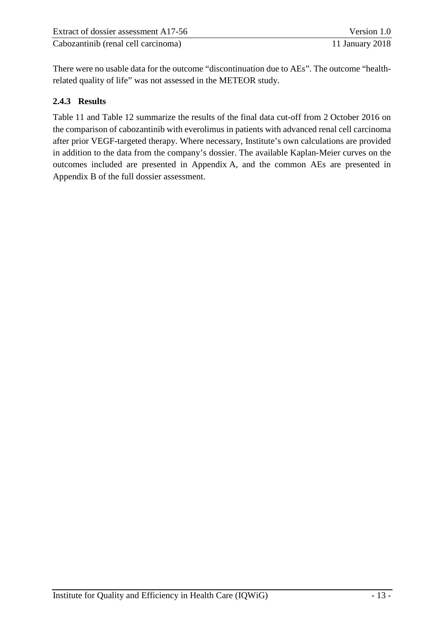| Extract of dossier assessment A17-56 | Version 1.0     |
|--------------------------------------|-----------------|
| Cabozantinib (renal cell carcinoma)  | 11 January 2018 |

There were no usable data for the outcome "discontinuation due to AEs". The outcome "healthrelated quality of life" was not assessed in the METEOR study.

#### <span id="page-18-0"></span>**2.4.3 Results**

[Table](#page-19-0) 11 and [Table](#page-21-0) 12 summarize the results of the final data cut-off from 2 October 2016 on the comparison of cabozantinib with everolimus in patients with advanced renal cell carcinoma after prior VEGF-targeted therapy. Where necessary, Institute's own calculations are provided in addition to the data from the company's dossier. The available Kaplan-Meier curves on the outcomes included are presented in Appendix A, and the common AEs are presented in Appendix B of the full dossier assessment.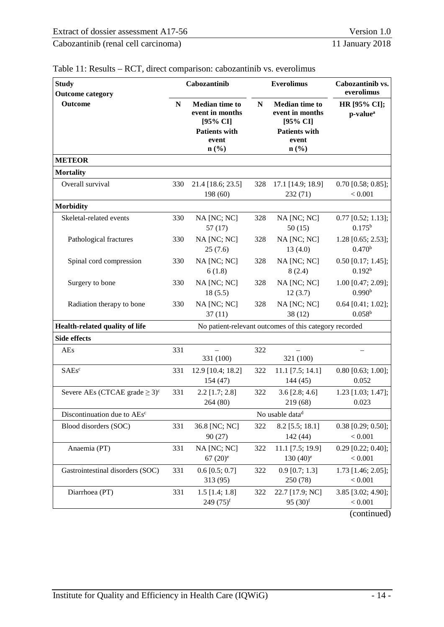| <b>Study</b><br><b>Outcome category</b>         |     | Cabozantinib                                                                                  |     | <b>Everolimus</b>                                                                                                               | Cabozantinib vs.<br>everolimus             |  |
|-------------------------------------------------|-----|-----------------------------------------------------------------------------------------------|-----|---------------------------------------------------------------------------------------------------------------------------------|--------------------------------------------|--|
| <b>Outcome</b>                                  | N   | <b>Median time to</b><br>event in months<br>[95% CI]<br><b>Patients with</b><br>event<br>n(%) | N   | <b>Median time to</b><br>event in months<br>$[95\% \text{ CI}]$<br><b>Patients with</b><br>event<br>$n\left(\frac{0}{0}\right)$ | HR [95% CI];<br>p-value <sup>a</sup>       |  |
| <b>METEOR</b>                                   |     |                                                                                               |     |                                                                                                                                 |                                            |  |
| <b>Mortality</b>                                |     |                                                                                               |     |                                                                                                                                 |                                            |  |
| Overall survival                                | 330 | 21.4 [18.6; 23.5]<br>198 (60)                                                                 | 328 | 17.1 [14.9; 18.9]<br>232 (71)                                                                                                   | $0.70$ [0.58; 0.85];<br>< 0.001            |  |
| <b>Morbidity</b>                                |     |                                                                                               |     |                                                                                                                                 |                                            |  |
| Skeletal-related events                         | 330 | NA [NC; NC]<br>57(17)                                                                         | 328 | NA [NC; NC]<br>50(15)                                                                                                           | $0.77$ [0.52; 1.13];<br>$0.175^{b}$        |  |
| Pathological fractures                          | 330 | NA [NC; NC]<br>25(7.6)                                                                        | 328 | NA [NC; NC]<br>13(4.0)                                                                                                          | $1.28$ [0.65; 2.53];<br>0.470 <sup>b</sup> |  |
| Spinal cord compression                         | 330 | NA [NC; NC]<br>6(1.8)                                                                         | 328 | NA [NC; NC]<br>8(2.4)                                                                                                           | $0.50$ [0.17; 1.45];<br>0.192 <sup>b</sup> |  |
| Surgery to bone                                 | 330 | NA [NC; NC]<br>18(5.5)                                                                        | 328 | NA [NC; NC]<br>12(3.7)                                                                                                          | 1.00 [0.47; 2.09];<br>0.990 <sup>b</sup>   |  |
| Radiation therapy to bone                       | 330 | NA [NC; NC]<br>37(11)                                                                         | 328 | NA [NC; NC]<br>38(12)                                                                                                           | $0.64$ [0.41; 1.02];<br>$0.058^{b}$        |  |
| Health-related quality of life                  |     |                                                                                               |     | No patient-relevant outcomes of this category recorded                                                                          |                                            |  |
| <b>Side effects</b>                             |     |                                                                                               |     |                                                                                                                                 |                                            |  |
| <b>AEs</b>                                      | 331 | 331 (100)                                                                                     | 322 | 321 (100)                                                                                                                       |                                            |  |
| <b>SAEsc</b>                                    | 331 | 12.9 [10.4; 18.2]<br>154(47)                                                                  | 322 | $11.1$ [7.5; 14.1]<br>144(45)                                                                                                   | $0.80$ [0.63; 1.00];<br>0.052              |  |
| Severe AEs (CTCAE grade $\geq 3$ ) <sup>c</sup> | 331 | $2.2$ [1.7; 2.8]<br>264 (80)                                                                  | 322 | $3.6$ [2.8; 4.6]<br>219 (68)                                                                                                    | 1.23 [1.03; 1.47];<br>0.023                |  |
| Discontinuation due to AEs <sup>c</sup>         |     |                                                                                               |     | No usable data <sup>d</sup>                                                                                                     |                                            |  |
| Blood disorders (SOC)                           | 331 | 36.8 [NC; NC]<br>90(27)                                                                       | 322 | $8.2$ [5.5; 18.1]<br>142 (44)                                                                                                   | $0.38$ [0.29; 0.50];<br>< 0.001            |  |
| Anaemia (PT)                                    | 331 | NA [NC; NC]<br>$67(20)$ <sup>e</sup>                                                          | 322 | 11.1 [7.5; 19.9]<br>$130(40)^e$                                                                                                 | $0.29$ [0.22; 0.40];<br>< 0.001            |  |
| Gastrointestinal disorders (SOC)                | 331 | $0.6$ [0.5; 0.7]<br>313 (95)                                                                  | 322 | $0.9$ [0.7; 1.3]<br>250 (78)                                                                                                    | 1.73 [1.46; 2.05];<br>< 0.001              |  |
| Diarrhoea (PT)                                  | 331 | $1.5$ [1.4; 1.8]<br>$249(75)^f$                                                               | 322 | 22.7 [17.9; NC]<br>95 $(30)^f$                                                                                                  | 3.85 [3.02; 4.90];<br>< 0.001              |  |
|                                                 |     |                                                                                               |     |                                                                                                                                 | (continued)                                |  |

#### <span id="page-19-0"></span>Table 11: Results – RCT, direct comparison: cabozantinib vs. everolimus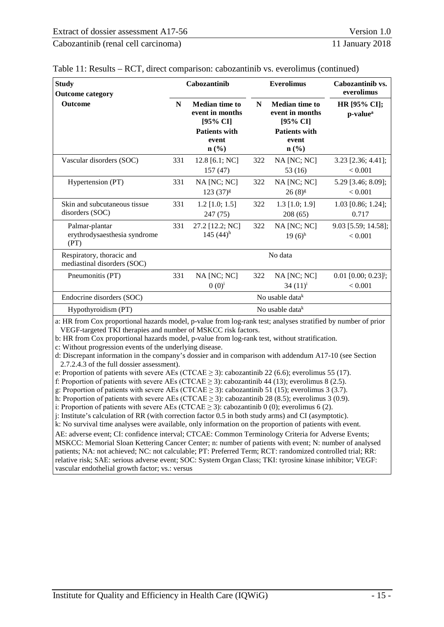| <b>Study</b><br><b>Outcome category</b>                  |     | Cabozantinib                                         |     | <b>Everolimus</b>                                    | Cabozantinib vs.<br>everolimus<br>HR [95% CI];<br>p-value <sup>a</sup> |  |
|----------------------------------------------------------|-----|------------------------------------------------------|-----|------------------------------------------------------|------------------------------------------------------------------------|--|
| <b>Outcome</b>                                           | N   | <b>Median time to</b><br>event in months<br>[95% CI] | N   | <b>Median time to</b><br>event in months<br>[95% CI] |                                                                        |  |
|                                                          |     | <b>Patients with</b><br>event<br>$\mathbf{n}(\%)$    |     | <b>Patients with</b><br>event<br>$\mathbf{n}(\%)$    |                                                                        |  |
| Vascular disorders (SOC)                                 | 331 | 12.8 [6.1; NC]<br>157(47)                            | 322 | $NA$ [NC; NC]<br>53 (16)                             | $3.23$ [2.36; 4.41];<br>< 0.001                                        |  |
| Hypertension (PT)                                        | 331 | NA [NC; NC]<br>$123(37)^{g}$                         | 322 | NA [NC; NC]<br>$26(8)^{g}$                           | 5.29 [3.46; 8.09];<br>< 0.001                                          |  |
| Skin and subcutaneous tissue<br>disorders (SOC)          | 331 | $1.2$ [1.0; 1.5]<br>247(75)                          | 322 | $1.3$ [1.0; 1.9]<br>208(65)                          | $1.03$ [0.86; 1.24];<br>0.717                                          |  |
| Palmar-plantar<br>erythrodysaesthesia syndrome<br>(PT)   | 331 | 27.2 [12.2; NC]<br>145 $(44)^h$                      | 322 | $NA$ [NC; NC]<br>$19(6)$ <sup>h</sup>                | 9.03 [5.59; 14.58];<br>< 0.001                                         |  |
| Respiratory, thoracic and<br>mediastinal disorders (SOC) |     |                                                      |     | No data                                              |                                                                        |  |
| Pneumonitis (PT)                                         | 331 | $NA$ [NC; NC]<br>$(0)(0)^{i}$                        | 322 | NA [NC; NC]<br>34 $(11)^{i}$                         | $0.01$ [0.00; 0.23] <sup>j</sup> ;<br>< 0.001                          |  |
| Endocrine disorders (SOC)                                |     |                                                      |     | No usable data $k$                                   |                                                                        |  |
| Hypothyroidism (PT)                                      |     |                                                      |     | No usable data $k$                                   |                                                                        |  |

| Table 11: Results – RCT, direct comparison: cabozantinib vs. everolimus (continued) |  |  |  |
|-------------------------------------------------------------------------------------|--|--|--|
|-------------------------------------------------------------------------------------|--|--|--|

a: HR from Cox proportional hazards model, p-value from log-rank test; analyses stratified by number of prior VEGF-targeted TKI therapies and number of MSKCC risk factors.

b: HR from Cox proportional hazards model, p-value from log-rank test, without stratification.

c: Without progression events of the underlying disease.

d: Discrepant information in the company's dossier and in comparison with addendum A17-10 (see Section 2.7.2.4.3 of the full dossier assessment).

e: Proportion of patients with severe AEs (CTCAE  $\geq$  3): cabozantinib 22 (6.6); everolimus 55 (17).

f: Proportion of patients with severe AEs (CTCAE  $\geq$  3): cabozantinib 44 (13); everolimus 8 (2.5).

g: Proportion of patients with severe AEs (CTCAE  $\geq$  3): cabozantinib 51 (15); everolimus 3 (3.7).

h: Proportion of patients with severe AEs (CTCAE  $\geq$  3): cabozantinib 28 (8.5); everolimus 3 (0.9).

i: Proportion of patients with severe AEs (CTCAE  $\geq$  3): cabozantinib 0 (0); everolimus 6 (2).

j: Institute's calculation of RR (with correction factor 0.5 in both study arms) and CI (asymptotic).

k: No survival time analyses were available, only information on the proportion of patients with event.

AE: adverse event; CI: confidence interval; CTCAE: Common Terminology Criteria for Adverse Events; MSKCC: Memorial Sloan Kettering Cancer Center; n: number of patients with event; N: number of analysed patients; NA: not achieved; NC: not calculable; PT: Preferred Term; RCT: randomized controlled trial; RR: relative risk; SAE: serious adverse event; SOC: System Organ Class; TKI: tyrosine kinase inhibitor; VEGF: vascular endothelial growth factor; vs.: versus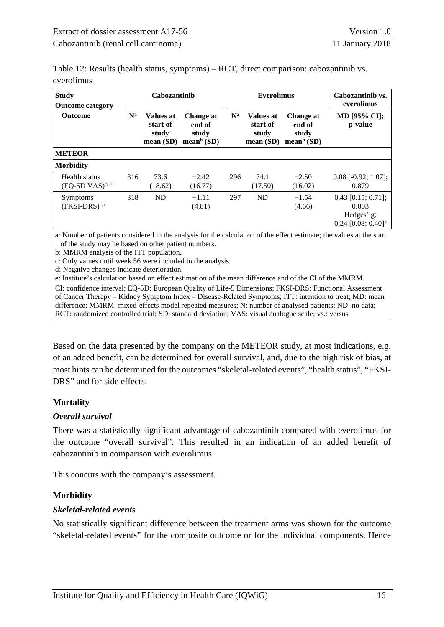<span id="page-21-0"></span>

| Table 12: Results (health status, symptoms) – RCT, direct comparison: cabozantinib vs. |  |
|----------------------------------------------------------------------------------------|--|
| everolimus                                                                             |  |

| <b>Study</b><br><b>Outcome category</b> | Cabozantinib |                                            |                                                        |                           | <b>Everolimus</b>                                                                                           | Cabozantinib vs.<br>everolimus |                                                                                 |  |
|-----------------------------------------|--------------|--------------------------------------------|--------------------------------------------------------|---------------------------|-------------------------------------------------------------------------------------------------------------|--------------------------------|---------------------------------------------------------------------------------|--|
| <b>Outcome</b>                          | $N^a$        | Values at<br>start of<br>study<br>mean(SD) | Change at<br>end of<br>study<br>mean <sup>b</sup> (SD) | $\mathbf{N}^{\mathbf{a}}$ | <b>Values at</b><br>Change at<br>start of<br>end of<br>study<br>study<br>mean <sup>b</sup> (SD)<br>mean(SD) |                                | <b>MD</b> [95% CI];<br>p-value                                                  |  |
| <b>METEOR</b>                           |              |                                            |                                                        |                           |                                                                                                             |                                |                                                                                 |  |
| <b>Morbidity</b>                        |              |                                            |                                                        |                           |                                                                                                             |                                |                                                                                 |  |
| Health status<br>$(EQ-5D VAS)^{c, d}$   | 316          | 73.6<br>(18.62)                            | $-2.42$<br>(16.77)                                     | 296                       | 74.1<br>(17.50)                                                                                             | $-2.50$<br>(16.02)             | $0.08$ [-0.92; 1.07];<br>0.879                                                  |  |
| Symptoms<br>$(FKSI-DRS)^{c, d}$         | 318          | <b>ND</b>                                  | $-1.11$<br>(4.81)                                      | 297                       | <b>ND</b>                                                                                                   | $-1.54$<br>(4.66)              | $0.43$ [0.15; 0.71];<br>0.003<br>Hedges' g:<br>$0.24$ [0.08; 0.40] <sup>e</sup> |  |

a: Number of patients considered in the analysis for the calculation of the effect estimate; the values at the start of the study may be based on other patient numbers.

b: MMRM analysis of the ITT population.

c: Only values until week 56 were included in the analysis.

d: Negative changes indicate deterioration.

e: Institute's calculation based on effect estimation of the mean difference and of the CI of the MMRM.

CI: confidence interval; EQ-5D: European Quality of Life-5 Dimensions; FKSI-DRS: Functional Assessment of Cancer Therapy – Kidney Symptom Index – Disease-Related Symptoms; ITT: intention to treat; MD: mean difference; MMRM: mixed-effects model repeated measures; N: number of analysed patients; ND: no data; RCT: randomized controlled trial; SD: standard deviation; VAS: visual analogue scale; vs.: versus

Based on the data presented by the company on the METEOR study, at most indications, e.g. of an added benefit, can be determined for overall survival, and, due to the high risk of bias, at most hints can be determined for the outcomes "skeletal-related events", "health status", "FKSI-DRS" and for side effects.

#### **Mortality**

#### *Overall survival*

There was a statistically significant advantage of cabozantinib compared with everolimus for the outcome "overall survival". This resulted in an indication of an added benefit of cabozantinib in comparison with everolimus.

This concurs with the company's assessment.

#### **Morbidity**

#### *Skeletal-related events*

No statistically significant difference between the treatment arms was shown for the outcome "skeletal-related events" for the composite outcome or for the individual components. Hence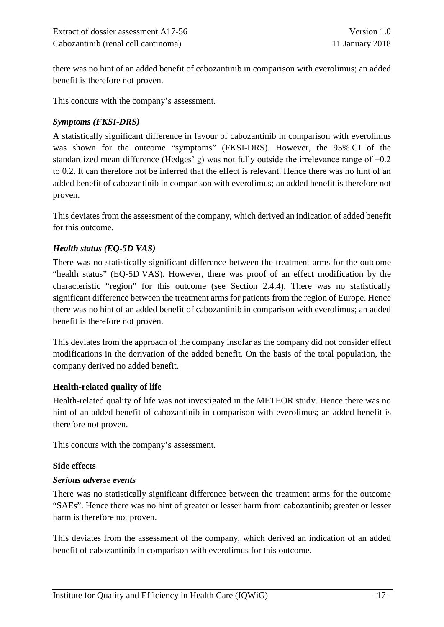there was no hint of an added benefit of cabozantinib in comparison with everolimus; an added benefit is therefore not proven.

This concurs with the company's assessment.

#### *Symptoms (FKSI-DRS)*

A statistically significant difference in favour of cabozantinib in comparison with everolimus was shown for the outcome "symptoms" (FKSI-DRS). However, the 95% CI of the standardized mean difference (Hedges' g) was not fully outside the irrelevance range of −0.2 to 0.2. It can therefore not be inferred that the effect is relevant. Hence there was no hint of an added benefit of cabozantinib in comparison with everolimus; an added benefit is therefore not proven.

This deviates from the assessment of the company, which derived an indication of added benefit for this outcome.

#### *Health status (EQ-5D VAS)*

There was no statistically significant difference between the treatment arms for the outcome "health status" (EQ-5D VAS). However, there was proof of an effect modification by the characteristic "region" for this outcome (see Section [2.4.4\)](#page-24-0). There was no statistically significant difference between the treatment arms for patients from the region of Europe. Hence there was no hint of an added benefit of cabozantinib in comparison with everolimus; an added benefit is therefore not proven.

This deviates from the approach of the company insofar as the company did not consider effect modifications in the derivation of the added benefit. On the basis of the total population, the company derived no added benefit.

#### **Health-related quality of life**

Health-related quality of life was not investigated in the METEOR study. Hence there was no hint of an added benefit of cabozantinib in comparison with everolimus; an added benefit is therefore not proven.

This concurs with the company's assessment.

#### **Side effects**

#### *Serious adverse events*

There was no statistically significant difference between the treatment arms for the outcome "SAEs". Hence there was no hint of greater or lesser harm from cabozantinib; greater or lesser harm is therefore not proven.

This deviates from the assessment of the company, which derived an indication of an added benefit of cabozantinib in comparison with everolimus for this outcome.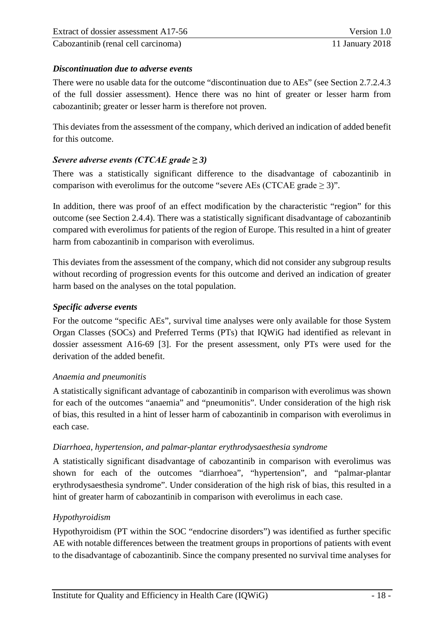#### *Discontinuation due to adverse events*

There were no usable data for the outcome "discontinuation due to AEs" (see Section 2.7.2.4.3 of the full dossier assessment). Hence there was no hint of greater or lesser harm from cabozantinib; greater or lesser harm is therefore not proven.

This deviates from the assessment of the company, which derived an indication of added benefit for this outcome.

#### *Severe adverse events (CTCAE grade ≥ 3)*

There was a statistically significant difference to the disadvantage of cabozantinib in comparison with everolimus for the outcome "severe AEs (CTCAE grade  $\geq$  3)".

In addition, there was proof of an effect modification by the characteristic "region" for this outcome (see Section 2.4.4). There was a statistically significant disadvantage of cabozantinib compared with everolimus for patients of the region of Europe. This resulted in a hint of greater harm from cabozantinib in comparison with everolimus.

This deviates from the assessment of the company, which did not consider any subgroup results without recording of progression events for this outcome and derived an indication of greater harm based on the analyses on the total population.

#### *Specific adverse events*

For the outcome "specific AEs", survival time analyses were only available for those System Organ Classes (SOCs) and Preferred Terms (PTs) that IQWiG had identified as relevant in dossier assessment A16-69 [3]. For the present assessment, only PTs were used for the derivation of the added benefit.

#### *Anaemia and pneumonitis*

A statistically significant advantage of cabozantinib in comparison with everolimus was shown for each of the outcomes "anaemia" and "pneumonitis". Under consideration of the high risk of bias, this resulted in a hint of lesser harm of cabozantinib in comparison with everolimus in each case.

#### *Diarrhoea, hypertension, and palmar-plantar erythrodysaesthesia syndrome*

A statistically significant disadvantage of cabozantinib in comparison with everolimus was shown for each of the outcomes "diarrhoea", "hypertension", and "palmar-plantar erythrodysaesthesia syndrome". Under consideration of the high risk of bias, this resulted in a hint of greater harm of cabozantinib in comparison with everolimus in each case.

#### *Hypothyroidism*

Hypothyroidism (PT within the SOC "endocrine disorders") was identified as further specific AE with notable differences between the treatment groups in proportions of patients with event to the disadvantage of cabozantinib. Since the company presented no survival time analyses for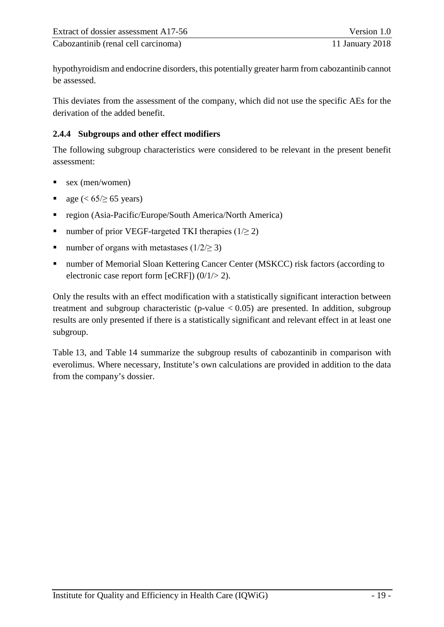hypothyroidism and endocrine disorders, this potentially greater harm from cabozantinib cannot be assessed.

This deviates from the assessment of the company, which did not use the specific AEs for the derivation of the added benefit.

#### <span id="page-24-0"></span>**2.4.4 Subgroups and other effect modifiers**

The following subgroup characteristics were considered to be relevant in the present benefit assessment:

- sex (men/women)
- age ( $\lt 65/ \ge 65$  years)
- region (Asia-Pacific/Europe/South America/North America)
- number of prior VEGF-targeted TKI therapies  $(1/\geq 2)$
- number of organs with metastases  $(1/2 \geq 3)$
- number of Memorial Sloan Kettering Cancer Center (MSKCC) risk factors (according to electronic case report form [eCRF])  $(0/1/> 2)$ .

Only the results with an effect modification with a statistically significant interaction between treatment and subgroup characteristic (p-value  $< 0.05$ ) are presented. In addition, subgroup results are only presented if there is a statistically significant and relevant effect in at least one subgroup.

[Table](#page-25-0) 13, and [Table](#page-27-0) 14 summarize the subgroup results of cabozantinib in comparison with everolimus. Where necessary, Institute's own calculations are provided in addition to the data from the company's dossier.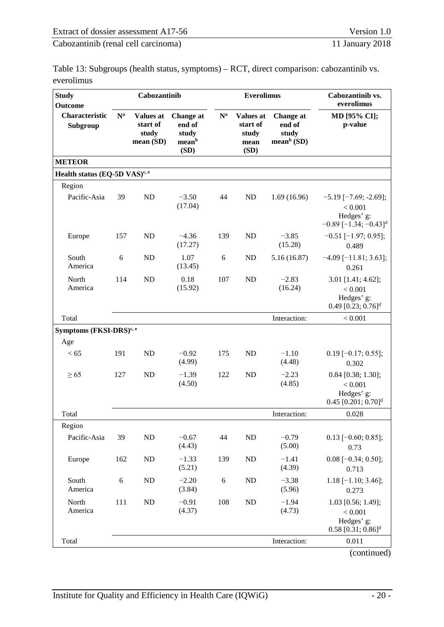<span id="page-25-0"></span>

| Table 13: Subgroups (health status, symptoms) – RCT, direct comparison: cabozantinib vs. |  |
|------------------------------------------------------------------------------------------|--|
| everolimus                                                                               |  |

| <b>Study</b><br>Outcome                   |       | Cabozantinib                                       |                                                      |                  | <b>Everolimus</b>                                     |                                               | Cabozantinib vs.<br>everolimus                                                                 |  |
|-------------------------------------------|-------|----------------------------------------------------|------------------------------------------------------|------------------|-------------------------------------------------------|-----------------------------------------------|------------------------------------------------------------------------------------------------|--|
| Characteristic<br>Subgroup                | $N^a$ | <b>Values at</b><br>start of<br>study<br>mean (SD) | <b>Change</b> at<br>end of<br>study<br>meanb<br>(SD) | $N^a$            | <b>Values at</b><br>start of<br>study<br>mean<br>(SD) | Change at<br>end of<br>study<br>mean $b$ (SD) | MD [95% CI];<br>p-value                                                                        |  |
| <b>METEOR</b>                             |       |                                                    |                                                      |                  |                                                       |                                               |                                                                                                |  |
| Health status (EQ-5D VAS) <sup>c, e</sup> |       |                                                    |                                                      |                  |                                                       |                                               |                                                                                                |  |
| Region                                    |       |                                                    |                                                      |                  |                                                       |                                               |                                                                                                |  |
| Pacific-Asia                              | 39    | <b>ND</b>                                          | $-3.50$<br>(17.04)                                   | 44               | ND                                                    | 1.69(16.96)                                   | $-5.19$ [ $-7.69$ ; $-2.69$ ];<br>< 0.001<br>Hedges' g:<br>$-0.89$ [-1.34; -0.43] <sup>d</sup> |  |
| Europe                                    | 157   | ND                                                 | $-4.36$<br>(17.27)                                   | 139              | <b>ND</b>                                             | $-3.85$<br>(15.28)                            | $-0.51$ [ $-1.97; 0.95$ ];<br>0.489                                                            |  |
| South<br>America                          | 6     | ND                                                 | 1.07<br>(13.45)                                      | 6                | ND                                                    | 5.16(16.87)                                   | $-4.09$ [ $-11.81$ ; 3.63];<br>0.261                                                           |  |
| North<br>America                          | 114   | <b>ND</b>                                          | 0.18<br>(15.92)                                      | 107              | <b>ND</b>                                             | $-2.83$<br>(16.24)                            | $3.01$ [1.41; 4.62];<br>< 0.001<br>Hedges' g:<br>0.49 [0.23; 0.76] <sup>d</sup>                |  |
| Total                                     |       |                                                    |                                                      |                  |                                                       | Interaction:                                  | < 0.001                                                                                        |  |
| Symptoms (FKSI-DRS) <sup>c, e</sup>       |       |                                                    |                                                      |                  |                                                       |                                               |                                                                                                |  |
| Age                                       |       |                                                    |                                                      |                  |                                                       |                                               |                                                                                                |  |
| < 65                                      | 191   | ND                                                 | $-0.92$<br>(4.99)                                    | 175              | ND                                                    | $-1.10$<br>(4.48)                             | $0.19$ [-0.17; 0.55];<br>0.302                                                                 |  |
| $\geq 65$                                 | 127   | ND                                                 | $-1.39$<br>(4.50)                                    | 122              | <b>ND</b>                                             | $-2.23$<br>(4.85)                             | $0.84$ [0.38; 1.30];<br>< 0.001<br>Hedges' g:<br>$0.45$ [0.201; $0.70$ ] <sup>d</sup>          |  |
| Total                                     |       |                                                    |                                                      |                  |                                                       | Interaction:                                  | 0.028                                                                                          |  |
| Region                                    |       |                                                    |                                                      |                  |                                                       |                                               |                                                                                                |  |
| Pacific-Asia                              | 39    | ND                                                 | $-0.67$<br>(4.43)                                    | 44               | ND                                                    | $-0.79$<br>(5.00)                             | $0.13$ [-0.60; 0.85];<br>0.73                                                                  |  |
| Europe                                    | 162   | ND                                                 | $-1.33$<br>(5.21)                                    | 139              | ND                                                    | $-1.41$<br>(4.39)                             | $0.08$ [-0.34; 0.50];<br>0.713                                                                 |  |
| South<br>America                          | 6     | ND                                                 | $-2.20$<br>(3.84)                                    | $\boldsymbol{6}$ | ND                                                    | $-3.38$<br>(5.96)                             | $1.18$ [-1.10; 3.46];<br>0.273                                                                 |  |
| North<br>America                          | 111   | ND                                                 | $-0.91$<br>(4.37)                                    | 108              | $\rm ND$                                              | $-1.94$<br>(4.73)                             | 1.03 [0.56; 1.49];<br>< 0.001<br>Hedges' g:<br>$0.58$ [0.31; $0.86$ ] <sup>d</sup>             |  |
| Total                                     |       |                                                    |                                                      |                  |                                                       | Interaction:                                  | 0.011                                                                                          |  |
|                                           |       |                                                    |                                                      |                  |                                                       |                                               | (continued)                                                                                    |  |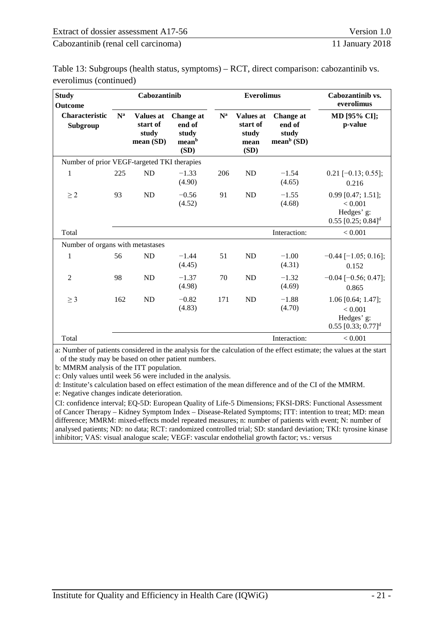| Table 13: Subgroups (health status, symptoms) – RCT, direct comparison: cabozantinib vs. |  |
|------------------------------------------------------------------------------------------|--|
| everolimus (continued)                                                                   |  |

| <b>Study</b><br><b>Outcome</b>              |       | Cabozantinib                                      |                                                           |                   | <b>Everolimus</b>                                     |                                               | Cabozantinib vs.<br>everolimus                                                       |
|---------------------------------------------|-------|---------------------------------------------------|-----------------------------------------------------------|-------------------|-------------------------------------------------------|-----------------------------------------------|--------------------------------------------------------------------------------------|
| <b>Characteristic</b><br>Subgroup           | $N^a$ | <b>Values at</b><br>start of<br>study<br>mean(SD) | Change at<br>end of<br>study<br>mean <sup>b</sup><br>(SD) | ${\bf N}^{\rm a}$ | <b>Values at</b><br>start of<br>study<br>mean<br>(SD) | Change at<br>end of<br>study<br>mean $b$ (SD) | MD [95% CI];<br>p-value                                                              |
| Number of prior VEGF-targeted TKI therapies |       |                                                   |                                                           |                   |                                                       |                                               |                                                                                      |
| $\mathbf{1}$                                | 225   | ND                                                | $-1.33$<br>(4.90)                                         | 206               | ND                                                    | $-1.54$<br>(4.65)                             | $0.21$ [-0.13; 0.55];<br>0.216                                                       |
| $\geq$ 2                                    | 93    | ND                                                | $-0.56$<br>(4.52)                                         | 91                | ND                                                    | $-1.55$<br>(4.68)                             | $0.99$ [0.47; 1.51];<br>< 0.001<br>Hedges' g:<br>$0.55$ [0.25; $0.84$ ] <sup>d</sup> |
| Total                                       |       |                                                   |                                                           |                   |                                                       | Interaction:                                  | < 0.001                                                                              |
| Number of organs with metastases            |       |                                                   |                                                           |                   |                                                       |                                               |                                                                                      |
| $\mathbf{1}$                                | 56    | ND                                                | $-1.44$<br>(4.45)                                         | 51                | ND                                                    | $-1.00$<br>(4.31)                             | $-0.44$ [ $-1.05$ ; 0.16];<br>0.152                                                  |
| $\overline{2}$                              | 98    | ND                                                | $-1.37$<br>(4.98)                                         | 70                | ND                                                    | $-1.32$<br>(4.69)                             | $-0.04$ [ $-0.56$ ; 0.47];<br>0.865                                                  |
| $\geq$ 3                                    | 162   | ND                                                | $-0.82$<br>(4.83)                                         | 171               | <b>ND</b>                                             | $-1.88$<br>(4.70)                             | $1.06$ [0.64; 1.47];<br>< 0.001<br>Hedges' g:<br>$0.55$ [0.33; $0.77$ ] <sup>d</sup> |
| Total                                       |       |                                                   |                                                           |                   |                                                       | Interaction:                                  | < 0.001                                                                              |

a: Number of patients considered in the analysis for the calculation of the effect estimate; the values at the start of the study may be based on other patient numbers.

b: MMRM analysis of the ITT population.

c: Only values until week 56 were included in the analysis.

d: Institute's calculation based on effect estimation of the mean difference and of the CI of the MMRM.

e: Negative changes indicate deterioration.

CI: confidence interval; EQ-5D: European Quality of Life-5 Dimensions; FKSI-DRS: Functional Assessment of Cancer Therapy – Kidney Symptom Index – Disease-Related Symptoms; ITT: intention to treat; MD: mean difference; MMRM: mixed-effects model repeated measures; n: number of patients with event; N: number of analysed patients; ND: no data; RCT: randomized controlled trial; SD: standard deviation; TKI: tyrosine kinase inhibitor; VAS: visual analogue scale; VEGF: vascular endothelial growth factor; vs.: versus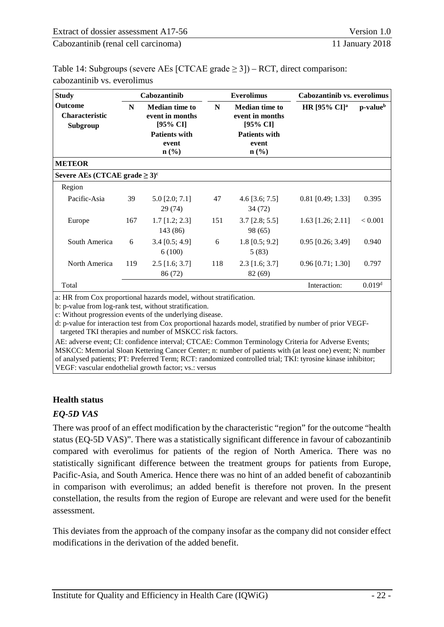<span id="page-27-0"></span>

| Table 14: Subgroups (severe AEs [CTCAE grade $\geq$ 3]) – RCT, direct comparison: |  |
|-----------------------------------------------------------------------------------|--|
| cabozantinib vs. everolimus                                                       |  |

| <b>Study</b>                                        |     | Cabozantinib                                                                 |     | <b>Everolimus</b>                                                            | <b>Cabozantinib vs. everolimus</b> |                      |
|-----------------------------------------------------|-----|------------------------------------------------------------------------------|-----|------------------------------------------------------------------------------|------------------------------------|----------------------|
| <b>Outcome</b><br><b>Characteristic</b><br>Subgroup | N   | <b>Median time to</b><br>event in months<br>[95% CI]<br><b>Patients with</b> | N   | <b>Median time to</b><br>event in months<br>[95% CI]<br><b>Patients with</b> | HR [95% $CI$ ] <sup>a</sup>        | p-value <sup>b</sup> |
|                                                     |     | event<br>$n$ (%)                                                             |     | event<br>$\mathbf{n}(\%)$                                                    |                                    |                      |
| <b>METEOR</b>                                       |     |                                                                              |     |                                                                              |                                    |                      |
| Severe AEs (CTCAE grade $\geq 3$ ) <sup>c</sup>     |     |                                                                              |     |                                                                              |                                    |                      |
| Region                                              |     |                                                                              |     |                                                                              |                                    |                      |
| Pacific-Asia                                        | 39  | $5.0$ [2.0; $7.1$ ]<br>29 (74)                                               | 47  | 4.6 $[3.6; 7.5]$<br>34 (72)                                                  | 0.81 [0.49; 1.33]                  | 0.395                |
| Europe                                              | 167 | $1.7$ [1.2; 2.3]<br>143 (86)                                                 | 151 | $3.7$ [2.8; 5.5]<br>98 (65)                                                  | $1.63$ [1.26; 2.11]                | < 0.001              |
| South America                                       | 6   | $3.4$ [0.5; 4.9]<br>6(100)                                                   | 6   | $1.8$ [0.5; 9.2]<br>5(83)                                                    | $0.95$ [0.26; 3.49]                | 0.940                |
| North America                                       | 119 | $2.5$ [1.6; 3.7]<br>86 (72)                                                  | 118 | $2.3$ [1.6; 3.7]<br>82 (69)                                                  | $0.96$ [0.71; 1.30]                | 0.797                |
| Total                                               |     |                                                                              |     |                                                                              | Interaction:                       | 0.019 <sup>d</sup>   |

a: HR from Cox proportional hazards model, without stratification.

b: p-value from log-rank test, without stratification.

c: Without progression events of the underlying disease.

d: p-value for interaction test from Cox proportional hazards model, stratified by number of prior VEGFtargeted TKI therapies and number of MSKCC risk factors.

AE: adverse event; CI: confidence interval; CTCAE: Common Terminology Criteria for Adverse Events; MSKCC: Memorial Sloan Kettering Cancer Center; n: number of patients with (at least one) event; N: number of analysed patients; PT: Preferred Term; RCT: randomized controlled trial; TKI: tyrosine kinase inhibitor; VEGF: vascular endothelial growth factor; vs.: versus

#### **Health status**

#### *EQ-5D VAS*

There was proof of an effect modification by the characteristic "region" for the outcome "health status (EQ-5D VAS)". There was a statistically significant difference in favour of cabozantinib compared with everolimus for patients of the region of North America. There was no statistically significant difference between the treatment groups for patients from Europe, Pacific-Asia, and South America. Hence there was no hint of an added benefit of cabozantinib in comparison with everolimus; an added benefit is therefore not proven. In the present constellation, the results from the region of Europe are relevant and were used for the benefit assessment.

This deviates from the approach of the company insofar as the company did not consider effect modifications in the derivation of the added benefit.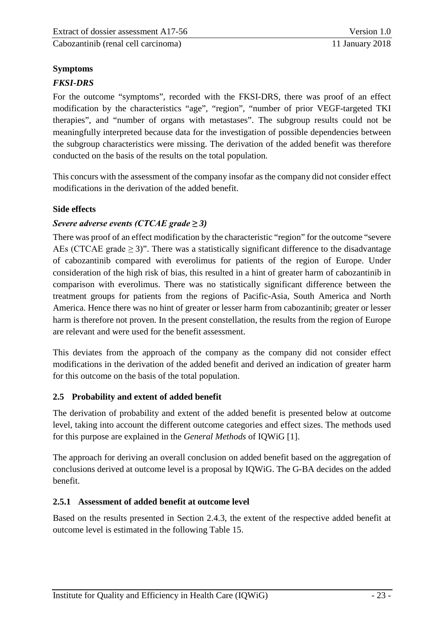#### **Symptoms**

#### *FKSI-DRS*

For the outcome "symptoms", recorded with the FKSI-DRS, there was proof of an effect modification by the characteristics "age", "region", "number of prior VEGF-targeted TKI therapies", and "number of organs with metastases". The subgroup results could not be meaningfully interpreted because data for the investigation of possible dependencies between the subgroup characteristics were missing. The derivation of the added benefit was therefore conducted on the basis of the results on the total population.

This concurs with the assessment of the company insofar as the company did not consider effect modifications in the derivation of the added benefit.

#### **Side effects**

#### *Severe adverse events (CTCAE grade ≥ 3)*

There was proof of an effect modification by the characteristic "region" for the outcome "severe AEs (CTCAE grade  $\geq$  3)". There was a statistically significant difference to the disadvantage of cabozantinib compared with everolimus for patients of the region of Europe. Under consideration of the high risk of bias, this resulted in a hint of greater harm of cabozantinib in comparison with everolimus. There was no statistically significant difference between the treatment groups for patients from the regions of Pacific-Asia, South America and North America. Hence there was no hint of greater or lesser harm from cabozantinib; greater or lesser harm is therefore not proven. In the present constellation, the results from the region of Europe are relevant and were used for the benefit assessment.

This deviates from the approach of the company as the company did not consider effect modifications in the derivation of the added benefit and derived an indication of greater harm for this outcome on the basis of the total population.

#### <span id="page-28-0"></span>**2.5 Probability and extent of added benefit**

The derivation of probability and extent of the added benefit is presented below at outcome level, taking into account the different outcome categories and effect sizes. The methods used for this purpose are explained in the *General Methods* of IQWiG [1].

The approach for deriving an overall conclusion on added benefit based on the aggregation of conclusions derived at outcome level is a proposal by IQWiG. The G-BA decides on the added benefit.

#### <span id="page-28-1"></span>**2.5.1 Assessment of added benefit at outcome level**

Based on the results presented in Section [2.4.3,](#page-18-0) the extent of the respective added benefit at outcome level is estimated in the following [Table](#page-30-0) 15.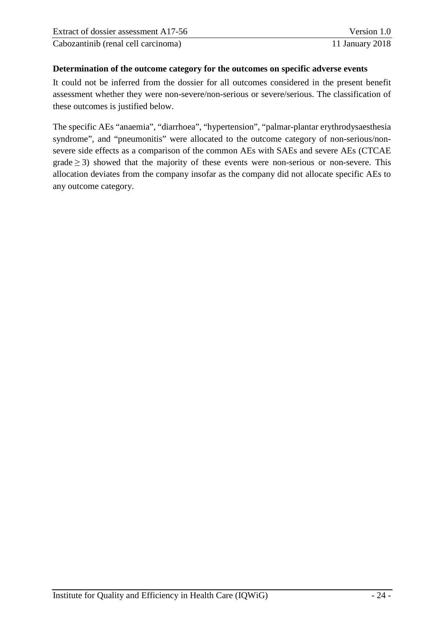#### **Determination of the outcome category for the outcomes on specific adverse events**

It could not be inferred from the dossier for all outcomes considered in the present benefit assessment whether they were non-severe/non-serious or severe/serious. The classification of these outcomes is justified below.

The specific AEs "anaemia", "diarrhoea", "hypertension", "palmar-plantar erythrodysaesthesia syndrome", and "pneumonitis" were allocated to the outcome category of non-serious/nonsevere side effects as a comparison of the common AEs with SAEs and severe AEs (CTCAE  $\text{grade} \geq 3$ ) showed that the majority of these events were non-serious or non-severe. This allocation deviates from the company insofar as the company did not allocate specific AEs to any outcome category.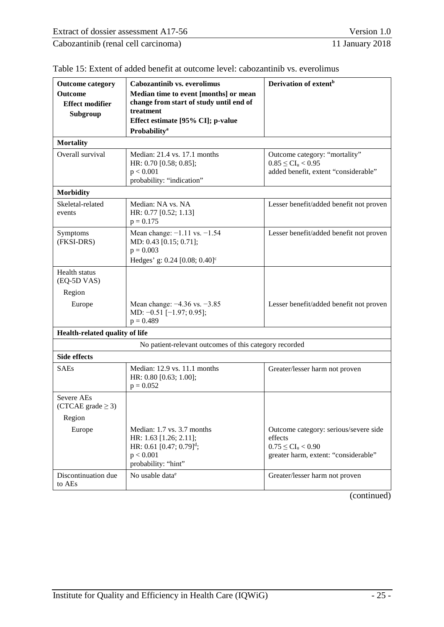| <b>Outcome category</b><br><b>Outcome</b><br><b>Effect modifier</b><br>Subgroup | Cabozantinib vs. everolimus<br>Median time to event [months] or mean<br>change from start of study until end of<br>treatment<br>Effect estimate [95% CI]; p-value | Derivation of extent <sup>b</sup>                                                                                   |
|---------------------------------------------------------------------------------|-------------------------------------------------------------------------------------------------------------------------------------------------------------------|---------------------------------------------------------------------------------------------------------------------|
|                                                                                 | <b>Probability</b> <sup>a</sup>                                                                                                                                   |                                                                                                                     |
| <b>Mortality</b>                                                                |                                                                                                                                                                   |                                                                                                                     |
| Overall survival                                                                | Median: $21.4$ vs. 17.1 months<br>HR: 0.70 [0.58; 0.85];<br>p < 0.001<br>probability: "indication"                                                                | Outcome category: "mortality"<br>$0.85 \leq CI_{u} < 0.95$<br>added benefit, extent "considerable"                  |
| <b>Morbidity</b>                                                                |                                                                                                                                                                   |                                                                                                                     |
| Skeletal-related<br>events                                                      | Median: NA vs. NA<br>HR: 0.77 [0.52; 1.13]<br>$p = 0.175$                                                                                                         | Lesser benefit/added benefit not proven                                                                             |
| Symptoms<br>(FKSI-DRS)                                                          | Mean change: $-1.11$ vs. $-1.54$<br>MD: 0.43 [0.15; 0.71];<br>$p = 0.003$<br>Hedges' g: $0.24$ [0.08; $0.40$ ] <sup>c</sup>                                       | Lesser benefit/added benefit not proven                                                                             |
| <b>Health</b> status<br>(EQ-5D VAS)                                             |                                                                                                                                                                   |                                                                                                                     |
| Region                                                                          |                                                                                                                                                                   |                                                                                                                     |
| Europe                                                                          | Mean change: $-4.36$ vs. $-3.85$<br>MD: $-0.51$ [ $-1.97; 0.95$ ];<br>$p = 0.489$                                                                                 | Lesser benefit/added benefit not proven                                                                             |
| Health-related quality of life                                                  |                                                                                                                                                                   |                                                                                                                     |
|                                                                                 | No patient-relevant outcomes of this category recorded                                                                                                            |                                                                                                                     |
| <b>Side effects</b>                                                             |                                                                                                                                                                   |                                                                                                                     |
| <b>SAEs</b>                                                                     | Median: 12.9 vs. 11.1 months<br>HR: 0.80 [0.63; 1.00];<br>$p = 0.052$                                                                                             | Greater/lesser harm not proven                                                                                      |
| Severe AEs<br>(CTCAE grade $\geq$ 3)                                            |                                                                                                                                                                   |                                                                                                                     |
| Region                                                                          |                                                                                                                                                                   |                                                                                                                     |
| Europe                                                                          | Median: 1.7 vs. 3.7 months<br>HR: 1.63 [1.26; 2.11];<br>HR: 0.61 [0.47; 0.79] <sup>d</sup> ;<br>p < 0.001<br>probability: "hint"                                  | Outcome category: serious/severe side<br>effects<br>$0.75 \leq CI_u < 0.90$<br>greater harm, extent: "considerable" |
| Discontinuation due<br>to AEs                                                   | No usable data <sup>e</sup>                                                                                                                                       | Greater/lesser harm not proven                                                                                      |

<span id="page-30-0"></span>

| Table 15: Extent of added benefit at outcome level: cabozantinib vs. everolimus |  |
|---------------------------------------------------------------------------------|--|
|---------------------------------------------------------------------------------|--|

(continued)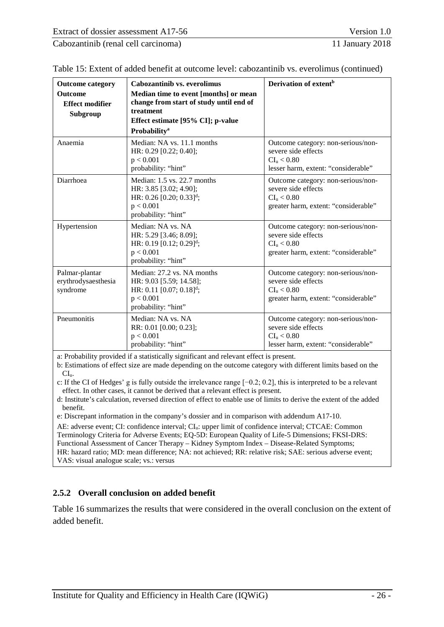| Cabozantinib (renal cell carcinoma) | 11 January 2018 |
|-------------------------------------|-----------------|
|                                     |                 |

| <b>Outcome category</b><br><b>Outcome</b><br><b>Effect modifier</b><br>Subgroup | Cabozantinib vs. everolimus<br>Median time to event [months] or mean<br>change from start of study until end of<br>treatment<br>Effect estimate [95% CI]; p-value<br>Probability <sup>a</sup> | Derivation of extent <sup>b</sup>                                                                                           |
|---------------------------------------------------------------------------------|-----------------------------------------------------------------------------------------------------------------------------------------------------------------------------------------------|-----------------------------------------------------------------------------------------------------------------------------|
| Anaemia                                                                         | Median: NA vs. 11.1 months<br>HR: 0.29 [0.22; 0.40];<br>p < 0.001<br>probability: "hint"                                                                                                      | Outcome category: non-serious/non-<br>severe side effects<br>$CI_u < 0.80$<br>lesser harm, extent: "considerable"           |
| Diarrhoea                                                                       | Median: 1.5 vs. 22.7 months<br>HR: 3.85 [3.02; 4.90];<br>HR: $0.26$ [0.20; $0.33$ ] <sup>d</sup> ;<br>p < 0.001<br>probability: "hint"                                                        | Outcome category: non-serious/non-<br>severe side effects<br>CI <sub>u</sub> < 0.80<br>greater harm, extent: "considerable" |
| Hypertension                                                                    | Median: NA vs. NA<br>HR: 5.29 [3.46; 8.09];<br>HR: 0.19 [0.12; 0.29] <sup>d</sup> ;<br>p < 0.001<br>probability: "hint"                                                                       | Outcome category: non-serious/non-<br>severe side effects<br>CI <sub>u</sub> < 0.80<br>greater harm, extent: "considerable" |
| Palmar-plantar<br>erythrodysaesthesia<br>syndrome                               | Median: 27.2 vs. NA months<br>HR: 9.03 [5.59; 14.58];<br>HR: 0.11 [0.07; 0.18] <sup>d</sup> ;<br>p < 0.001<br>probability: "hint"                                                             | Outcome category: non-serious/non-<br>severe side effects<br>$CI_{u} < 0.80$<br>greater harm, extent: "considerable"        |
| Pneumonitis                                                                     | Median: NA vs. NA<br>RR: 0.01 [0.00; 0.23];<br>p < 0.001<br>probability: "hint"                                                                                                               | Outcome category: non-serious/non-<br>severe side effects<br>CI <sub>u</sub> < 0.80<br>lesser harm, extent: "considerable"  |

Table [15: Extent of added benefit at outcome level: cabozantinib vs. everolimus](#page-30-0) (continued)

a: Probability provided if a statistically significant and relevant effect is present.

b: Estimations of effect size are made depending on the outcome category with different limits based on the CIu.

c: If the CI of Hedges' g is fully outside the irrelevance range [−0.2; 0.2], this is interpreted to be a relevant effect. In other cases, it cannot be derived that a relevant effect is present.

d: Institute's calculation, reversed direction of effect to enable use of limits to derive the extent of the added benefit.

e: Discrepant information in the company's dossier and in comparison with addendum A17-10.

AE: adverse event; CI: confidence interval; CI<sub>u</sub>: upper limit of confidence interval; CTCAE: Common Terminology Criteria for Adverse Events; EQ-5D: European Quality of Life-5 Dimensions; FKSI-DRS: Functional Assessment of Cancer Therapy – Kidney Symptom Index – Disease-Related Symptoms; HR: hazard ratio; MD: mean difference; NA: not achieved; RR: relative risk; SAE: serious adverse event;

VAS: visual analogue scale; vs.: versus

#### <span id="page-31-0"></span>**2.5.2 Overall conclusion on added benefit**

[Table](#page-32-0) 16 summarizes the results that were considered in the overall conclusion on the extent of added benefit.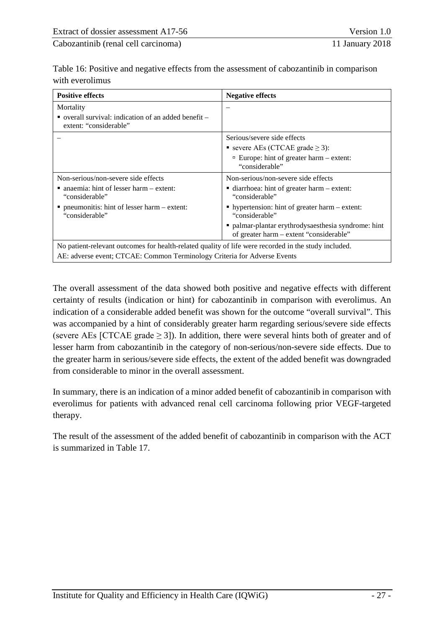<span id="page-32-0"></span>

| Table 16: Positive and negative effects from the assessment of cabozantinib in comparison |  |
|-------------------------------------------------------------------------------------------|--|
| with everolimus                                                                           |  |

| <b>Positive effects</b>                                                                              | <b>Negative effects</b>                                                                        |  |  |
|------------------------------------------------------------------------------------------------------|------------------------------------------------------------------------------------------------|--|--|
| Mortality                                                                                            |                                                                                                |  |  |
| overall survival: indication of an added benefit $-$<br>extent: "considerable"                       |                                                                                                |  |  |
|                                                                                                      | Serious/severe side effects                                                                    |  |  |
|                                                                                                      | ■ severe AEs (CTCAE grade $\geq$ 3):                                                           |  |  |
|                                                                                                      | □ Europe: hint of greater harm $-$ extent:<br>"considerable"                                   |  |  |
| Non-serious/non-severe side effects                                                                  | Non-serious/non-severe side effects                                                            |  |  |
| $\blacksquare$ anaemia: hint of lesser harm – extent:<br>"considerable"                              | ■ diarrhoea: hint of greater harm – extent:<br>"considerable"                                  |  |  |
| $\blacksquare$ pneumonitis: hint of lesser harm – extent:<br>"considerable"                          | • hypertension: hint of greater harm – extent:<br>"considerable"                               |  |  |
|                                                                                                      | • palmar-plantar erythrodysaesthesia syndrome: hint<br>of greater harm - extent "considerable" |  |  |
| No patient-relevant outcomes for health-related quality of life were recorded in the study included. |                                                                                                |  |  |
| AE: adverse event; CTCAE: Common Terminology Criteria for Adverse Events                             |                                                                                                |  |  |

The overall assessment of the data showed both positive and negative effects with different certainty of results (indication or hint) for cabozantinib in comparison with everolimus. An indication of a considerable added benefit was shown for the outcome "overall survival". This was accompanied by a hint of considerably greater harm regarding serious/severe side effects (severe AEs [CTCAE grade  $\geq$  3]). In addition, there were several hints both of greater and of lesser harm from cabozantinib in the category of non-serious/non-severe side effects. Due to the greater harm in serious/severe side effects, the extent of the added benefit was downgraded from considerable to minor in the overall assessment.

In summary, there is an indication of a minor added benefit of cabozantinib in comparison with everolimus for patients with advanced renal cell carcinoma following prior VEGF-targeted therapy.

The result of the assessment of the added benefit of cabozantinib in comparison with the ACT is summarized in [Table](#page-33-1) 17.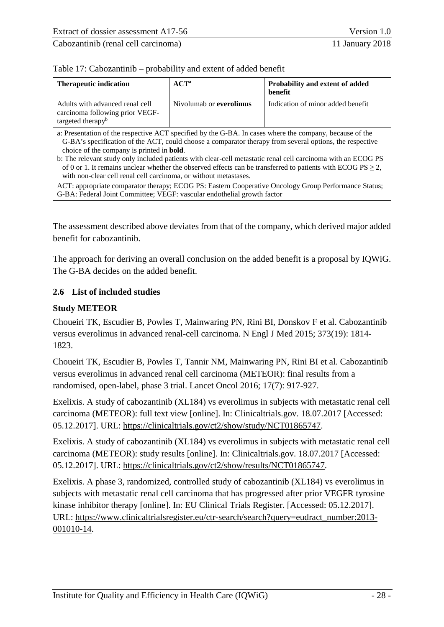<span id="page-33-1"></span>

|  | Table 17: Cabozantinib – probability and extent of added benefit |
|--|------------------------------------------------------------------|
|--|------------------------------------------------------------------|

| <b>Therapeutic indication</b>                                                                                                                                                                                                                                                                                                                                                                                                                                                                                                                                                   | $ACT^a$                 | Probability and extent of added<br>benefit |  |
|---------------------------------------------------------------------------------------------------------------------------------------------------------------------------------------------------------------------------------------------------------------------------------------------------------------------------------------------------------------------------------------------------------------------------------------------------------------------------------------------------------------------------------------------------------------------------------|-------------------------|--------------------------------------------|--|
| Adults with advanced renal cell<br>carcinoma following prior VEGF-<br>targeted therapy <sup>b</sup>                                                                                                                                                                                                                                                                                                                                                                                                                                                                             | Nivolumab or everolimus | Indication of minor added benefit          |  |
| a: Presentation of the respective ACT specified by the G-BA. In cases where the company, because of the<br>G-BA's specification of the ACT, could choose a comparator therapy from several options, the respective<br>choice of the company is printed in <b>bold</b> .<br>b: The relevant study only included patients with clear-cell metastatic renal cell carcinoma with an ECOG PS<br>of 0 or 1. It remains unclear whether the observed effects can be transferred to patients with ECOG PS $\geq$ 2,<br>with non-clear cell renal cell carcinoma, or without metastases. |                         |                                            |  |
| ACT: appropriate comparator therapy: ECOG PS: Eastern Cooperative Oncology Group Performance Status:                                                                                                                                                                                                                                                                                                                                                                                                                                                                            |                         |                                            |  |

lastern Cooperative Oncology Gr G-BA: Federal Joint Committee; VEGF: vascular endothelial growth factor

The assessment described above deviates from that of the company, which derived major added benefit for cabozantinib.

The approach for deriving an overall conclusion on the added benefit is a proposal by IQWiG. The G-BA decides on the added benefit.

#### <span id="page-33-0"></span>**2.6 List of included studies**

#### **Study METEOR**

Choueiri TK, Escudier B, Powles T, Mainwaring PN, Rini BI, Donskov F et al. Cabozantinib versus everolimus in advanced renal-cell carcinoma. N Engl J Med 2015; 373(19): 1814- 1823.

Choueiri TK, Escudier B, Powles T, Tannir NM, Mainwaring PN, Rini BI et al. Cabozantinib versus everolimus in advanced renal cell carcinoma (METEOR): final results from a randomised, open-label, phase 3 trial. Lancet Oncol 2016; 17(7): 917-927.

Exelixis. A study of cabozantinib (XL184) vs everolimus in subjects with metastatic renal cell carcinoma (METEOR): full text view [online]. In: Clinicaltrials.gov. 18.07.2017 [Accessed: 05.12.2017]. URL: https://clinicaltrials.gov/ct2/show/study/NCT01865747.

Exelixis. A study of cabozantinib (XL184) vs everolimus in subjects with metastatic renal cell carcinoma (METEOR): study results [online]. In: Clinicaltrials.gov. 18.07.2017 [Accessed: 05.12.2017]. URL: https://clinicaltrials.gov/ct2/show/results/NCT01865747.

Exelixis. A phase 3, randomized, controlled study of cabozantinib (XL184) vs everolimus in subjects with metastatic renal cell carcinoma that has progressed after prior VEGFR tyrosine kinase inhibitor therapy [online]. In: EU Clinical Trials Register. [Accessed: 05.12.2017]. URL: [https://www.clinicaltrialsregister.eu/ctr-search/search?query=eudract\\_number:2013-](https://www.clinicaltrialsregister.eu/ctr-search/search?query=eudract_number:2013-001010-14) [001010-14.](https://www.clinicaltrialsregister.eu/ctr-search/search?query=eudract_number:2013-001010-14)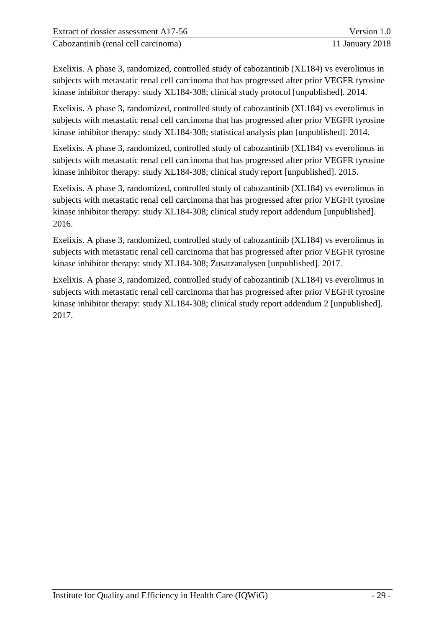Exelixis. A phase 3, randomized, controlled study of cabozantinib (XL184) vs everolimus in subjects with metastatic renal cell carcinoma that has progressed after prior VEGFR tyrosine kinase inhibitor therapy: study XL184-308; clinical study protocol [unpublished]. 2014.

Exelixis. A phase 3, randomized, controlled study of cabozantinib (XL184) vs everolimus in subjects with metastatic renal cell carcinoma that has progressed after prior VEGFR tyrosine kinase inhibitor therapy: study XL184-308; statistical analysis plan [unpublished]. 2014.

Exelixis. A phase 3, randomized, controlled study of cabozantinib (XL184) vs everolimus in subjects with metastatic renal cell carcinoma that has progressed after prior VEGFR tyrosine kinase inhibitor therapy: study XL184-308; clinical study report [unpublished]. 2015.

Exelixis. A phase 3, randomized, controlled study of cabozantinib (XL184) vs everolimus in subjects with metastatic renal cell carcinoma that has progressed after prior VEGFR tyrosine kinase inhibitor therapy: study XL184-308; clinical study report addendum [unpublished]. 2016.

Exelixis. A phase 3, randomized, controlled study of cabozantinib (XL184) vs everolimus in subjects with metastatic renal cell carcinoma that has progressed after prior VEGFR tyrosine kinase inhibitor therapy: study XL184-308; Zusatzanalysen [unpublished]. 2017.

Exelixis. A phase 3, randomized, controlled study of cabozantinib (XL184) vs everolimus in subjects with metastatic renal cell carcinoma that has progressed after prior VEGFR tyrosine kinase inhibitor therapy: study XL184-308; clinical study report addendum 2 [unpublished]. 2017.